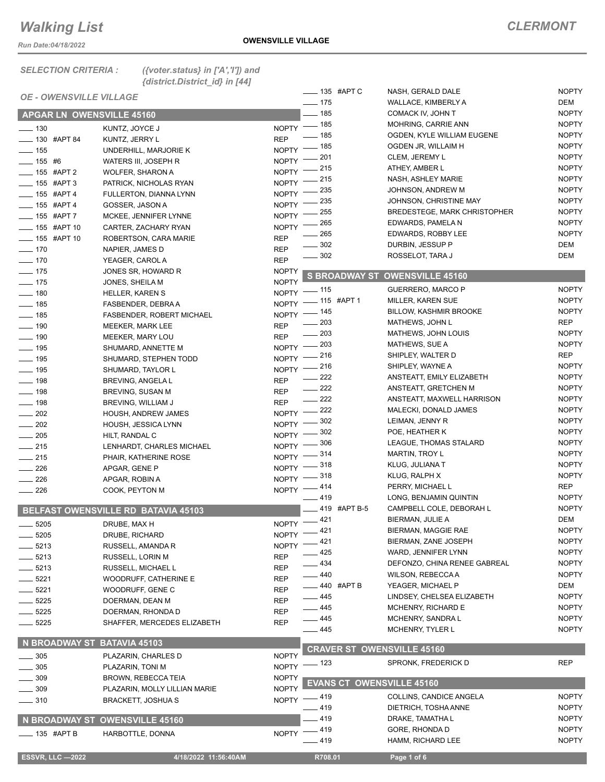*Run Date:04/18/2022*

#### *SELECTION CRITERIA : ({voter.status} in ['A','I']) and {district.District\_id} in [44]*

| <b>OE - OWENSVILLE VILLAGE</b> |                                     |                    |                   | _____ 135 #APT C       | NASH, GERALD DALE                   | <b>NOPTY</b> |
|--------------------------------|-------------------------------------|--------------------|-------------------|------------------------|-------------------------------------|--------------|
|                                |                                     |                    | $- 175$           |                        | WALLACE, KIMBERLY A                 | DEM          |
| APGAR LN OWENSVILLE 45160      |                                     |                    | $- 185$           |                        | COMACK IV, JOHN T                   | <b>NOPTY</b> |
| $\frac{1}{2}$ 130              | KUNTZ, JOYCE J                      | NOPTY - 185        |                   |                        | MOHRING, CARRIE ANN                 | <b>NOPTY</b> |
| $\frac{1}{2}$ 130 #APT 84      | KUNTZ, JERRY L                      | <b>REP</b>         | $-185$            |                        | OGDEN, KYLE WILLIAM EUGENE          | <b>NOPTY</b> |
| $\frac{1}{2}$ 155              | UNDERHILL, MARJORIE K               | NOPTY <sup>-</sup> | $-185$            |                        | OGDEN JR, WILLAIM H                 | <b>NOPTY</b> |
| $\frac{1}{155}$ #6             | WATERS III, JOSEPH R                | NOPTY <sup>-</sup> | - 201             |                        | CLEM, JEREMY L                      | <b>NOPTY</b> |
| -65 #APT 2                     | <b>WOLFER, SHARON A</b>             | NOPTY $-$          | _ 215             |                        | ATHEY, AMBER L                      | <b>NOPTY</b> |
|                                |                                     | $NOPTY$ -          | $=$ 215           |                        | NASH, ASHLEY MARIE                  | <b>NOPTY</b> |
| -65 #APT 3                     | PATRICK, NICHOLAS RYAN              | NOPTY -235         |                   |                        | JOHNSON, ANDREW M                   | <b>NOPTY</b> |
| $- 155$ #APT 4                 | FULLERTON, DIANNA LYNN              |                    | - 235             |                        | JOHNSON, CHRISTINE MAY              | <b>NOPTY</b> |
| $- 155$ #APT 4                 | GOSSER, JASON A                     | NOPTY <sup>-</sup> | - 255             |                        | <b>BREDESTEGE, MARK CHRISTOPHER</b> | <b>NOPTY</b> |
| ___ 155 #APT 7                 | MCKEE, JENNIFER LYNNE               | NOPTY <sup>-</sup> | _ 265             |                        | EDWARDS, PAMELA N                   | <b>NOPTY</b> |
| <b>LEGGE #APT 10</b>           | CARTER, ZACHARY RYAN                | <b>NOPTY</b>       | 265               |                        | EDWARDS, ROBBY LEE                  | <b>NOPTY</b> |
| -85 #APT 10                    | ROBERTSON, CARA MARIE               | <b>REP</b>         | $-302$            |                        | DURBIN, JESSUP P                    | DEM          |
| $- 170$                        | NAPIER, JAMES D                     | <b>REP</b>         | $\frac{1}{2}$ 302 |                        | ROSSELOT, TARA J                    | DEM          |
| $\frac{1}{2}$ 170              | YEAGER, CAROL A                     | <b>REP</b>         |                   |                        |                                     |              |
| $\frac{1}{2}$ 175              | JONES SR, HOWARD R                  | <b>NOPTY</b>       |                   | <b>S BROADWAY ST</b>   | <b>OWENSVILLE 45160</b>             |              |
| $- 175$                        | JONES, SHEILA M                     | <b>NOPTY</b>       |                   |                        |                                     |              |
| $- 180$                        | <b>HELLER, KAREN S</b>              | NOPTY - 115        |                   |                        | GUERRERO, MARCO P                   | <b>NOPTY</b> |
| $- 185$                        | FASBENDER, DEBRA A                  |                    |                   | NOPTY - 115 #APT 1     | <b>MILLER, KAREN SUE</b>            | <b>NOPTY</b> |
| $\frac{1}{2}$ 185              | FASBENDER, ROBERT MICHAEL           | NOPTY - 145        |                   |                        | <b>BILLOW, KASHMIR BROOKE</b>       | <b>NOPTY</b> |
| $- 190$                        | MEEKER, MARK LEE                    | <b>REP</b>         | $- 203$           |                        | MATHEWS, JOHN L                     | REP          |
| $\frac{1}{2}$ 190              | MEEKER, MARY LOU                    | <b>REP</b>         | $\frac{1}{203}$   |                        | MATHEWS, JOHN LOUIS                 | <b>NOPTY</b> |
| $\frac{1}{2}$ 195              | SHUMARD, ANNETTE M                  | NOPTY - 203        |                   |                        | MATHEWS, SUE A                      | <b>NOPTY</b> |
| $- 195$                        | SHUMARD, STEPHEN TODD               | NOPTY -216         |                   |                        | SHIPLEY, WALTER D                   | REP          |
| $\frac{1}{2}$ 195              | SHUMARD, TAYLOR L                   | NOPTY -216         |                   |                        | SHIPLEY, WAYNE A                    | <b>NOPTY</b> |
| $\frac{1}{2}$ 198              | BREVING, ANGELA L                   | <b>REP</b>         | $\frac{222}{2}$   |                        | ANSTEATT, EMILY ELIZABETH           | <b>NOPTY</b> |
| $- 198$                        | BREVING, SUSAN M                    | <b>REP</b>         | $\frac{222}{2}$   |                        | ANSTEATT, GRETCHEN M                | <b>NOPTY</b> |
| $- 198$                        | BREVING, WILLIAM J                  | <b>REP</b>         | $\frac{222}{2}$   |                        | ANSTEATT, MAXWELL HARRISON          | <b>NOPTY</b> |
| $\frac{1}{202}$                | HOUSH, ANDREW JAMES                 | NOPTY -222         |                   |                        | MALECKI, DONALD JAMES               | <b>NOPTY</b> |
| $\sim$ 202                     | HOUSH, JESSICA LYNN                 | NOPTY -802         |                   |                        | LEIMAN, JENNY R                     | <b>NOPTY</b> |
| $\frac{1}{205}$                | HILT, RANDAL C                      | NOPTY -802         |                   |                        | POE, HEATHER K                      | <b>NOPTY</b> |
| $\frac{1}{215}$                | LENHARDT, CHARLES MICHAEL           | NOPTY -            | . 306             |                        | LEAGUE, THOMAS STALARD              | <b>NOPTY</b> |
| $\frac{1}{215}$                | PHAIR, KATHERINE ROSE               | NOPTY -814         |                   |                        | <b>MARTIN, TROY L</b>               | <b>NOPTY</b> |
| $\frac{1}{226}$                | APGAR, GENE P                       | NOPTY -818         |                   |                        | KLUG, JULIANA T                     | <b>NOPTY</b> |
| $\frac{1}{226}$                | APGAR, ROBIN A                      | NOPTY -818         |                   |                        | KLUG, RALPH X                       | <b>NOPTY</b> |
| $\frac{1}{226}$                | COOK, PEYTON M                      | NOPTY -414         |                   |                        | PERRY, MICHAEL L                    | REP          |
|                                |                                     |                    | $-419$            |                        | LONG, BENJAMIN QUINTIN              | <b>NOPTY</b> |
|                                | BELFAST OWENSVILLE RD BATAVIA 45103 |                    |                   | ___ 419 #APT B-5       | CAMPBELL COLE, DEBORAH L            | <b>NOPTY</b> |
|                                |                                     | NOPTY -421         |                   |                        | BIERMAN, JULIE A                    | DEM          |
| $- 5205$                       | DRUBE, MAX H                        |                    | $-421$            |                        | BIERMAN, MAGGIE RAE                 | <b>NOPTY</b> |
| _ 5205                         | DRUBE, RICHARD                      | NOPTY              |                   |                        | BIERMAN, ZANE JOSEPH                | <b>NOPTY</b> |
| $=$ 5213                       | RUSSELL, AMANDA R                   | NOPTY -421         | .425              |                        | WARD, JENNIFER LYNN                 | <b>NOPTY</b> |
| $=$ 5213                       | RUSSELL, LORIN M                    | <b>REP</b>         | $-434$            |                        | DEFONZO, CHINA RENEE GABREAL        | <b>NOPTY</b> |
| $-5213$                        | RUSSELL, MICHAEL L                  | <b>REP</b>         | $-440$            |                        | <b>WILSON, REBECCAA</b>             | <b>NOPTY</b> |
| $-5221$                        | WOODRUFF, CATHERINE E               | <b>REP</b>         |                   |                        |                                     |              |
| $=5221$                        | WOODRUFF, GENE C                    | <b>REP</b>         |                   | <b>____ 440 #APT B</b> | YEAGER, MICHAEL P                   | DEM          |
| $-5225$                        | DOERMAN, DEAN M                     | <b>REP</b>         | —— 445            |                        | LINDSEY, CHELSEA ELIZABETH          | <b>NOPTY</b> |
| $=$ 5225                       | DOERMAN, RHONDA D                   | <b>REP</b>         | $\equiv$ 445      |                        | MCHENRY, RICHARD E                  | <b>NOPTY</b> |
| $=$ 5225                       | SHAFFER, MERCEDES ELIZABETH         | <b>REP</b>         | —— 445            |                        | MCHENRY, SANDRA L                   | <b>NOPTY</b> |
|                                |                                     |                    | —— 445            |                        | <b>MCHENRY, TYLER L</b>             | <b>NOPTY</b> |
| N BROADWAY ST BATAVIA 45103    |                                     |                    |                   |                        |                                     |              |
| $-305$                         | PLAZARIN, CHARLES D                 | <b>NOPTY</b>       |                   |                        | <b>CRAVER ST OWENSVILLE 45160</b>   |              |
| $\frac{1}{2}$ 305              | PLAZARIN, TONI M                    | NOPTY - 123        |                   |                        | SPRONK, FREDERICK D                 | <b>REP</b>   |
| $-309$                         | BROWN, REBECCA TEIA                 | <b>NOPTY</b>       |                   |                        |                                     |              |
| _ 309                          | PLAZARIN, MOLLY LILLIAN MARIE       | <b>NOPTY</b>       |                   |                        | <b>EVANS CT OWENSVILLE 45160</b>    |              |
| $- 310$                        | BRACKETT, JOSHUA S                  | NOPTY -419         |                   |                        | COLLINS, CANDICE ANGELA             | <b>NOPTY</b> |
|                                |                                     |                    | _ 419             |                        | DIETRICH, TOSHA ANNE                | <b>NOPTY</b> |
|                                | N BROADWAY ST OWENSVILLE 45160      |                    | 419               |                        | DRAKE, TAMATHA L                    | <b>NOPTY</b> |
|                                |                                     | NOPTY -419         |                   |                        | GORE, RHONDA D                      | <b>NOPTY</b> |
| —— 135   #APT В                | HARBOTTLE, DONNA                    |                    | _ 419             |                        | HAMM, RICHARD LEE                   | <b>NOPTY</b> |
|                                |                                     |                    |                   |                        |                                     |              |
| <b>ESSVR, LLC -2022</b>        | 4/18/2022 11:56:40AM                |                    |                   | R708.01                | Page 1 of 6                         |              |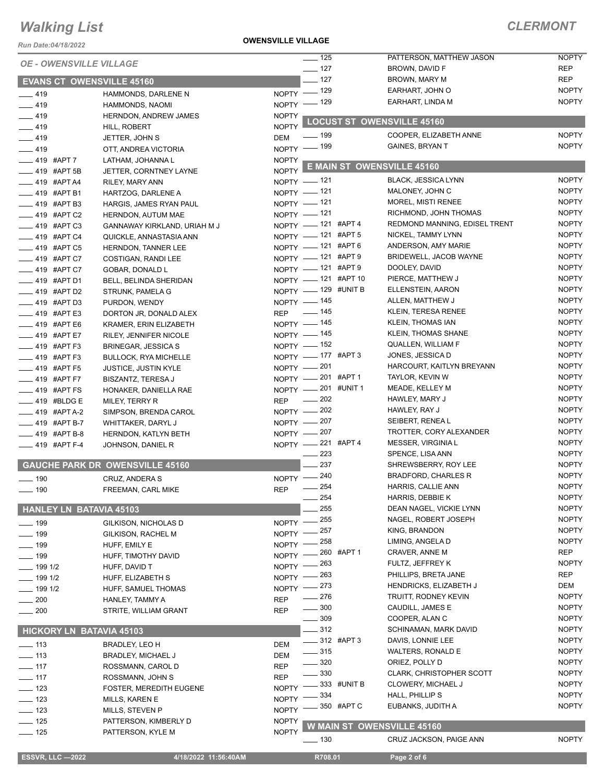**OWENSVILLE VILLAGE**

### *CLERMONT*

| Run Date:04/18/2022                 |                                             | UWLINJVILLL VILLAUL          |                                  |             |                                          |                              |
|-------------------------------------|---------------------------------------------|------------------------------|----------------------------------|-------------|------------------------------------------|------------------------------|
| <b>OE - OWENSVILLE VILLAGE</b>      |                                             |                              | $-$ 125                          |             | PATTERSON, MATTHEW JASON                 | <b>NOPTY</b>                 |
|                                     |                                             |                              | $- 127$                          |             | BROWN, DAVID F                           | <b>REP</b><br><b>REP</b>     |
| <b>EVANS CT OWENSVILLE 45160</b>    |                                             |                              | $-$ 127                          |             | BROWN, MARY M<br>EARHART, JOHN O         | <b>NOPTY</b>                 |
| $-419$                              | HAMMONDS, DARLENE N                         |                              | NOPTY - 129                      |             | EARHART, LINDA M                         | <b>NOPTY</b>                 |
| $-419$                              | HAMMONDS, NAOMI                             |                              | NOPTY - 129                      |             |                                          |                              |
| $-419$                              | <b>HERNDON, ANDREW JAMES</b>                | <b>NOPTY</b>                 |                                  |             | <b>LOCUST ST OWENSVILLE 45160</b>        |                              |
| $-419$                              | HILL, ROBERT                                | <b>NOPTY</b>                 | $\frac{1}{2}$ 199                |             | COOPER, ELIZABETH ANNE                   | <b>NOPTY</b>                 |
| $-419$                              | JETTER, JOHN S                              | <b>DEM</b>                   | NOPTY - 199                      |             | <b>GAINES, BRYAN T</b>                   | <b>NOPTY</b>                 |
| $-419$                              | OTT, ANDREA VICTORIA                        | <b>NOPTY</b>                 |                                  |             |                                          |                              |
| __ 419 #APT 7<br><b>419 #APT 5B</b> | LATHAM, JOHANNA L<br>JETTER, CORNTNEY LAYNE | NOPTY L                      |                                  |             | E MAIN ST OWENSVILLE 45160               |                              |
| <b>LEGGE 419 #APT A4</b>            | RILEY, MARY ANN                             |                              | NOPTY - 121                      |             | <b>BLACK, JESSICA LYNN</b>               | <b>NOPTY</b>                 |
| $\frac{1}{2}$ 419 #APT B1           | HARTZOG, DARLENE A                          |                              | NOPTY -121                       |             | MALONEY, JOHN C                          | <b>NOPTY</b>                 |
| ____ 419 #APT B3                    | HARGIS, JAMES RYAN PAUL                     |                              | NOPTY $-$ 121                    |             | MOREL, MISTI RENEE                       | <b>NOPTY</b>                 |
| __ 419 #APT C2                      | <b>HERNDON, AUTUM MAE</b>                   |                              | NOPTY - 121                      |             | RICHMOND, JOHN THOMAS                    | <b>NOPTY</b>                 |
| $=$ 419 #APT C3                     | GANNAWAY KIRKLAND, URIAH M J                |                              | NOPTY - 121 #APT 4               |             | REDMOND MANNING, EDISEL TRENT            | <b>NOPTY</b>                 |
| $-419$ #APT C4                      | QUICKLE, ANNASTASIA ANN                     |                              | NOPTY - 121 #APT 5               |             | NICKEL, TAMMY LYNN                       | <b>NOPTY</b>                 |
| __ 419 #APT C5                      | HERNDON, TANNER LEE                         |                              | NOPTY - 121 #APT 6               |             | ANDERSON, AMY MARIE                      | <b>NOPTY</b>                 |
| ___ 419 #APT C7                     | COSTIGAN, RANDI LEE                         |                              | NOPTY - 121 #APT 9               |             | <b>BRIDEWELL, JACOB WAYNE</b>            | <b>NOPTY</b>                 |
| ____ 419 #APT C7                    | GOBAR, DONALD L                             |                              | NOPTY - 121 #APT 9               |             | DOOLEY, DAVID                            | <b>NOPTY</b>                 |
| $-419$ #APT D1                      | BELL, BELINDA SHERIDAN                      |                              | NOPTY - 121 #APT 10              |             | PIERCE, MATTHEW J                        | <b>NOPTY</b>                 |
| $-419$ #APT D2                      | STRUNK, PAMELA G                            |                              | NOPTY - 129 #UNIT B              |             | ELLENSTEIN, AARON                        | <b>NOPTY</b>                 |
| $-419$ #APT D3                      | PURDON, WENDY                               |                              | NOPTY - 145                      |             | ALLEN, MATTHEW J                         | <b>NOPTY</b>                 |
| $-419$ #APT E3                      | DORTON JR, DONALD ALEX                      |                              | REP - 145                        |             | KLEIN, TERESA RENEE                      | <b>NOPTY</b>                 |
| ___ 419 #APT E6                     | KRAMER, ERIN ELIZABETH                      |                              | NOPTY - 145                      |             | KLEIN, THOMAS IAN                        | <b>NOPTY</b>                 |
| <b>419 #APT E7</b>                  | RILEY, JENNIFER NICOLE                      |                              | NOPTY - 145                      |             | KLEIN, THOMAS SHANE                      | <b>NOPTY</b>                 |
| ____ 419 #APT F3                    | <b>BRINEGAR, JESSICA S</b>                  |                              | NOPTY - 152                      |             | QUALLEN, WILLIAM F                       | <b>NOPTY</b>                 |
| $-419$ #APT F3                      | <b>BULLOCK, RYA MICHELLE</b>                |                              | NOPTY - 177 #APT 3               |             | JONES, JESSICA D                         | <b>NOPTY</b>                 |
| __ 419 #APT F5                      | <b>JUSTICE, JUSTIN KYLE</b>                 |                              | NOPTY - 201<br>NOPTY -201 #APT 1 |             | HARCOURT, KAITLYN BREYANN                | <b>NOPTY</b><br><b>NOPTY</b> |
| $-419$ #APT F7                      | <b>BISZANTZ, TERESA J</b>                   |                              | NOPTY -201 #UNIT 1               |             | TAYLOR, KEVIN W<br>MEADE, KELLEY M       | <b>NOPTY</b>                 |
| __ 419 #APT FS                      | HONAKER, DANIELLA RAE                       |                              | REP - 202                        |             | HAWLEY, MARY J                           | <b>NOPTY</b>                 |
| $-419$ #BLDG E<br>$-419$ #APT A-2   | MILEY, TERRY R                              |                              | NOPTY -202                       |             | HAWLEY, RAY J                            | <b>NOPTY</b>                 |
| $\frac{1}{2}$ 419 #APT B-7          | SIMPSON, BRENDA CAROL<br>WHITTAKER, DARYL J |                              | NOPTY - 207                      |             | SEIBERT, RENEA L                         | <b>NOPTY</b>                 |
| ___ 419 #APT B-8                    | HERNDON, KATLYN BETH                        |                              | NOPTY - 207                      |             | TROTTER, CORY ALEXANDER                  | <b>NOPTY</b>                 |
| $-419$ #APT F-4                     | JOHNSON, DANIEL R                           |                              | NOPTY -221 #APT 4                |             | MESSER, VIRGINIA L                       | <b>NOPTY</b>                 |
|                                     |                                             |                              | $-223$                           |             | SPENCE, LISA ANN                         | <b>NOPTY</b>                 |
|                                     | <b>GAUCHE PARK DR OWENSVILLE 45160</b>      |                              | 237                              |             | SHREWSBERRY, ROY LEE                     | <b>NOPTY</b>                 |
| —— 190                              | CRUZ, ANDERA S                              |                              | NOPTY -240                       |             | <b>BRADFORD, CHARLES R</b>               | <b>NOPTY</b>                 |
| __ 190                              | FREEMAN, CARL MIKE                          | <b>REP</b>                   | $-254$                           |             | HARRIS, CALLIE ANN                       | <b>NOPTY</b>                 |
|                                     |                                             |                              | 254                              |             | HARRIS, DEBBIE K                         | <b>NOPTY</b>                 |
| <b>HANLEY LN BATAVIA 45103</b>      |                                             |                              | 255                              |             | DEAN NAGEL, VICKIE LYNN                  | <b>NOPTY</b>                 |
| ___ 199                             | GILKISON, NICHOLAS D                        | <b>NOPTY</b>                 | 255                              |             | NAGEL, ROBERT JOSEPH                     | <b>NOPTY</b>                 |
| $-$ 199                             | GILKISON, RACHEL M                          | <b>NOPTY</b>                 | 257                              |             | KING, BRANDON                            | <b>NOPTY</b>                 |
| $-199$                              | HUFF, EMILY E                               | <b>NOPTY</b>                 | 258                              |             | LIMING, ANGELA D                         | <b>NOPTY</b>                 |
| $\frac{1}{2}$ 199                   | HUFF, TIMOTHY DAVID                         | <b>NOPTY</b>                 |                                  | 260 #APT 1  | CRAVER, ANNE M                           | <b>REP</b>                   |
| $- 1991/2$                          | HUFF, DAVID T                               | <b>NOPTY</b>                 | 263                              |             | FULTZ, JEFFREY K                         | <b>NOPTY</b>                 |
| $- 1991/2$                          | HUFF, ELIZABETH S                           | <b>NOPTY</b>                 | 263                              |             | PHILLIPS, BRETA JANE                     | <b>REP</b>                   |
| $- 1991/2$                          | HUFF, SAMUEL THOMAS                         | <b>NOPTY</b>                 | 273                              |             | <b>HENDRICKS, ELIZABETH J</b>            | DEM<br><b>NOPTY</b>          |
| $-200$                              | HANLEY, TAMMY A                             | <b>REP</b>                   | 276<br>300                       |             | TRUITT, RODNEY KEVIN<br>CAUDILL, JAMES E | <b>NOPTY</b>                 |
| 200                                 | STRITE, WILLIAM GRANT                       | <b>REP</b>                   | $\frac{1}{2}$ 309                |             | COOPER, ALAN C                           | <b>NOPTY</b>                 |
|                                     |                                             |                              | $-312$                           |             | SCHINAMAN, MARK DAVID                    | <b>NOPTY</b>                 |
| <b>HICKORY LN BATAVIA 45103</b>     |                                             |                              |                                  | 312 #APT 3  | DAVIS, LONNIE LEE                        | <b>NOPTY</b>                 |
| $- 113$                             | BRADLEY, LEO H                              | <b>DEM</b>                   | $-315$                           |             | WALTERS, RONALD E                        | <b>NOPTY</b>                 |
| $\frac{1}{2}$ 113                   | <b>BRADLEY, MICHAEL J</b>                   | <b>DEM</b>                   | 320                              |             | ORIEZ, POLLY D                           | <b>NOPTY</b>                 |
| $-$ 117                             | ROSSMANN, CAROL D                           | <b>REP</b>                   | 330                              |             | <b>CLARK, CHRISTOPHER SCOTT</b>          | <b>NOPTY</b>                 |
| $-117$                              | ROSSMANN, JOHN S                            | <b>REP</b>                   |                                  | 333 #UNIT B | CLOWERY, MICHAEL J                       | <b>NOPTY</b>                 |
| $\equiv$ 123                        | <b>FOSTER, MEREDITH EUGENE</b>              | <b>NOPTY</b><br><b>NOPTY</b> | 334                              |             | HALL, PHILLIP S                          | <b>NOPTY</b>                 |
| $\equiv$ 123<br>$- 123$             | MILLS, KAREN E                              | <b>NOPTY</b>                 |                                  | 350 #APT C  | EUBANKS, JUDITH A                        | <b>NOPTY</b>                 |
| $-$ 125                             | MILLS, STEVEN P<br>PATTERSON, KIMBERLY D    | <b>NOPTY</b>                 |                                  |             |                                          |                              |
| $- 125$                             | PATTERSON, KYLE M                           | <b>NOPTY</b>                 |                                  |             | W MAIN ST OWENSVILLE 45160               |                              |
|                                     |                                             |                              | $- 130$                          |             | CRUZ JACKSON, PAIGE ANN                  | <b>NOPTY</b>                 |
| <b>ESSVR, LLC -2022</b>             | 4/18/2022 11:56:40AM                        |                              | R708.01                          |             | Page 2 of 6                              |                              |
|                                     |                                             |                              |                                  |             |                                          |                              |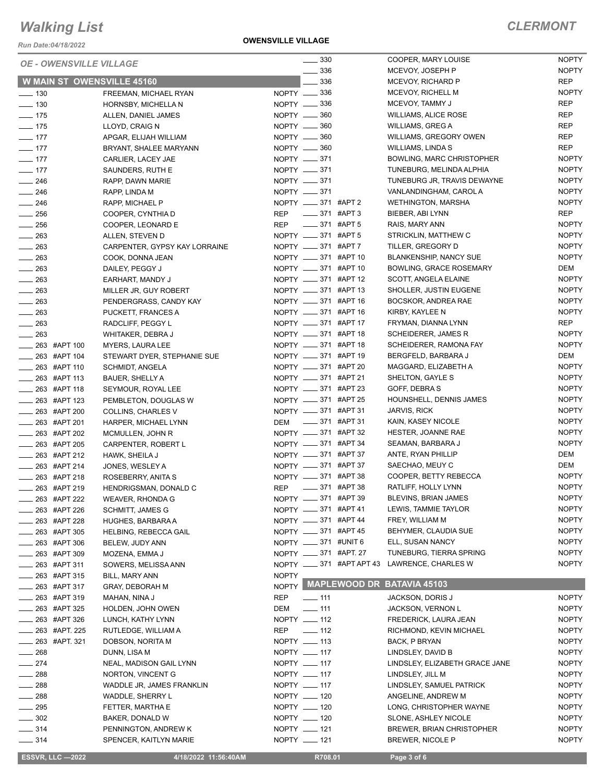*Run Date:04/18/2022*

### **OWENSVILLE VILLAGE**

### *CLERMONT*

| <b>OE - OWENSVILLE VILLAGE</b>    |                               |              | $\frac{1}{2}$ 330         |                             | COOPER, MARY LOUISE                          | <b>NOPTY</b>                 |
|-----------------------------------|-------------------------------|--------------|---------------------------|-----------------------------|----------------------------------------------|------------------------------|
|                                   |                               |              | 336                       |                             | MCEVOY, JOSEPH P                             | <b>NOPTY</b>                 |
| <b>W MAIN ST OWENSVILLE 45160</b> |                               |              | 336                       |                             | <b>MCEVOY, RICHARD P</b>                     | <b>REP</b>                   |
| $\frac{1}{2}$ 130                 | FREEMAN, MICHAEL RYAN         |              | NOPTY -836                |                             | MCEVOY, RICHELL M                            | <b>NOPTY</b>                 |
| $\frac{1}{2}$ 130                 | HORNSBY, MICHELLAN            |              | NOPTY __ 336              |                             | MCEVOY, TAMMY J                              | <b>REP</b>                   |
| $- 175$                           | ALLEN, DANIEL JAMES           |              | NOPTY -860                |                             | <b>WILLIAMS, ALICE ROSE</b>                  | <b>REP</b>                   |
| $- 175$                           | LLOYD, CRAIG N                |              | NOPTY __ 360              |                             | <b>WILLIAMS, GREG A</b>                      | <b>REP</b>                   |
| $- 177$                           | APGAR, ELIJAH WILLIAM         |              | NOPTY __ 360              |                             | WILLIAMS, GREGORY OWEN                       | <b>REP</b>                   |
| $\frac{1}{2}$ 177                 | BRYANT, SHALEE MARYANN        |              | NOPTY -860                |                             | WILLIAMS, LINDA S                            | <b>REP</b>                   |
| $\frac{1}{2}$ 177                 | CARLIER, LACEY JAE            |              | NOPTY __ 371              |                             | BOWLING, MARC CHRISTOPHER                    | <b>NOPTY</b>                 |
| $-177$                            | SAUNDERS, RUTH E              |              | NOPTY -871                |                             | TUNEBURG, MELINDA ALPHIA                     | <b>NOPTY</b>                 |
| $\frac{246}{5}$                   | RAPP, DAWN MARIE              |              | NOPTY __ 371              |                             | TUNEBURG JR, TRAVIS DEWAYNE                  | <b>NOPTY</b>                 |
| $\frac{1}{246}$                   | RAPP, LINDA M                 |              | NOPTY -871                |                             | VANLANDINGHAM, CAROL A                       | <b>NOPTY</b>                 |
| $\frac{1}{246}$                   | RAPP, MICHAEL P               |              | NOPTY __ 371 #APT 2       |                             | <b>WETHINGTON, MARSHA</b>                    | <b>NOPTY</b>                 |
| $\frac{1}{256}$                   | COOPER, CYNTHIA D             | <b>REP</b>   | ____ 371 #APT 3           |                             | BIEBER, ABI LYNN                             | REP                          |
| $\frac{1}{256}$                   | COOPER, LEONARD E             | <b>REP</b>   | $\frac{1}{2}$ 371 #APT 5  |                             | RAIS, MARY ANN                               | <b>NOPTY</b>                 |
| $\frac{1}{263}$                   | ALLEN, STEVEN D               |              | NOPTY __ 371 #APT 5       |                             | STRICKLIN, MATTHEW C                         | <b>NOPTY</b>                 |
| $\frac{1}{263}$                   | CARPENTER, GYPSY KAY LORRAINE |              | NOPTY __ 371 #APT 7       |                             | TILLER, GREGORY D                            | <b>NOPTY</b>                 |
| $\frac{1}{263}$                   | COOK, DONNA JEAN              |              | NOPTY __ 371 #APT 10      |                             | <b>BLANKENSHIP, NANCY SUE</b>                | <b>NOPTY</b>                 |
| $\frac{1}{263}$                   | DAILEY, PEGGY J               |              | NOPTY __ 371 #APT 10      |                             | BOWLING, GRACE ROSEMARY                      | <b>DEM</b>                   |
| $\frac{1}{263}$                   | EARHART, MANDY J              |              | NOPTY __ 371 #APT 12      |                             | SCOTT, ANGELA ELAINE                         | <b>NOPTY</b>                 |
| $\frac{1}{263}$                   | MILLER JR, GUY ROBERT         |              | NOPTY _____ 371 #APT 13   |                             | SHOLLER, JUSTIN EUGENE                       | <b>NOPTY</b>                 |
| $\frac{1}{263}$                   | PENDERGRASS, CANDY KAY        |              | NOPTY __ 371 #APT 16      |                             | BOCSKOR, ANDREA RAE                          | <b>NOPTY</b>                 |
| $\frac{1}{263}$                   | PUCKETT, FRANCES A            |              | NOPTY __ 371 #APT 16      |                             | KIRBY, KAYLEE N                              | <b>NOPTY</b>                 |
| $\frac{1}{263}$                   | RADCLIFF, PEGGY L             |              | NOPTY __ 371 #APT 17      |                             | FRYMAN, DIANNA LYNN                          | REP                          |
| $\frac{1}{263}$                   | WHITAKER, DEBRA J             |              | NOPTY __ 371 #APT 18      |                             | SCHEIDERER, JAMES R                          | <b>NOPTY</b>                 |
| $\frac{1}{263}$ #APT 100          | MYERS, LAURA LEE              |              | NOPTY __ 371 #APT 18      |                             | SCHEIDERER, RAMONA FAY                       | <b>NOPTY</b>                 |
| $\frac{1}{263}$ #APT 104          | STEWART DYER, STEPHANIE SUE   |              | NOPTY __ 371 #APT 19      |                             | BERGFELD, BARBARA J                          | DEM                          |
| 263 #APT 110                      | SCHMIDT, ANGELA               |              | NOPTY __ 371 #APT 20      |                             | MAGGARD, ELIZABETH A                         | <b>NOPTY</b>                 |
| $\frac{1}{263}$ #APT 113          | <b>BAUER, SHELLY A</b>        |              | NOPTY __ 371 #APT 21      |                             | SHELTON, GAYLE S                             | <b>NOPTY</b>                 |
| 263 #APT 118                      | SEYMOUR, ROYAL LEE            |              | NOPTY __ 371 #APT 23      |                             | GOFF, DEBRA S                                | <b>NOPTY</b>                 |
| $\frac{1}{263}$ #APT 123          | PEMBLETON, DOUGLAS W          |              | NOPTY __ 371 #APT 25      |                             | HOUNSHELL, DENNIS JAMES                      | <b>NOPTY</b>                 |
| ____ 263 #APT 200                 | COLLINS, CHARLES V            |              | NOPTY __ 371 #APT 31      |                             | <b>JARVIS, RICK</b>                          | <b>NOPTY</b>                 |
| $\frac{1}{263}$ #APT 201          | HARPER, MICHAEL LYNN          | DEM          | _____ 371 #APT 31         |                             | KAIN, KASEY NICOLE                           | <b>NOPTY</b>                 |
| ____ 263 #APT 202                 | MCMULLEN, JOHN R              |              | NOPTY _____ 371 #APT 32   |                             | HESTER, JOANNE RAE                           | <b>NOPTY</b>                 |
| 263 #APT 205                      | CARPENTER, ROBERT L           |              | NOPTY __ 371 #APT 34      |                             | SEAMAN, BARBARA J                            | <b>NOPTY</b>                 |
| $\frac{1}{263}$ #APT 212          | HAWK, SHEILA J                |              | NOPTY __ 371 #APT 37      |                             | ANTE, RYAN PHILLIP                           | DEM                          |
| $\frac{1}{263}$ #APT 214          |                               |              | NOPTY __ 371 #APT 37      |                             | SAECHAO, MEUY C                              | DEM                          |
|                                   | JONES, WESLEY A               |              | NOPTY __ 371 #APT 38      |                             | COOPER, BETTY REBECCA                        | <b>NOPTY</b>                 |
| $\frac{1}{263}$ #APT 218          | ROSEBERRY, ANITA S            |              | $\frac{1}{2}$ 371 #APT 38 |                             | RATLIFF, HOLLY LYNN                          | <b>NOPTY</b>                 |
| $\frac{1}{263}$ #APT 219          | HENDRIGSMAN, DONALD C         | <b>REP</b>   |                           |                             |                                              |                              |
| 263 #APT 222                      | WEAVER, RHONDA G              |              | NOPTY __ 371 #APT 39      |                             | BLEVINS, BRIAN JAMES<br>LEWIS, TAMMIE TAYLOR | <b>NOPTY</b><br><b>NOPTY</b> |
| 263 #APT 226                      | SCHMITT, JAMES G              |              | NOPTY __ 371 #APT 41      |                             |                                              |                              |
| 263 #APT 228                      | HUGHES, BARBARA A             |              | NOPTY __ 371 #APT 44      |                             | FREY, WILLIAM M                              | <b>NOPTY</b>                 |
| _ 263 #APT 305                    | HELBING, REBECCA GAIL         |              | NOPTY __ 371 #APT 45      |                             | BEHYMER, CLAUDIA SUE                         | <b>NOPTY</b>                 |
| $\frac{1}{263}$ #APT 306          | BELEW, JUDY ANN               |              | NOPTY __ 371 #UNIT 6      |                             | ELL, SUSAN NANCY                             | <b>NOPTY</b>                 |
| 263 #APT 309                      | MOZENA, EMMA J                |              | NOPTY __ 371 #APT. 27     |                             | TUNEBURG, TIERRA SPRING                      | <b>NOPTY</b>                 |
| $\frac{1}{263}$ #APT 311          | SOWERS, MELISSA ANN           |              |                           | NOPTY _____ 371 #APT APT 43 | LAWRENCE, CHARLES W                          | <b>NOPTY</b>                 |
| $\frac{1}{263}$ #APT 315          | BILL, MARY ANN                | <b>NOPTY</b> |                           |                             | <b>MAPLEWOOD DR BATAVIA 45103</b>            |                              |
| 263 #APT 317                      | <b>GRAY, DEBORAH M</b>        | <b>NOPTY</b> |                           |                             |                                              |                              |
| 263 #APT 319                      | MAHAN, NINA J                 | <b>REP</b>   | $-111$                    |                             | <b>JACKSON, DORIS J</b>                      | <b>NOPTY</b>                 |
| 263 #APT 325                      | HOLDEN, JOHN OWEN             | DEM          | $\frac{1}{2}$ 111         |                             | JACKSON, VERNON L                            | <b>NOPTY</b>                 |
| $\frac{1}{263}$ #APT 326          | LUNCH, KATHY LYNN             |              | NOPTY __ 112              |                             | FREDERICK, LAURA JEAN                        | <b>NOPTY</b>                 |
| $\frac{1}{263}$ #APT. 225         | RUTLEDGE, WILLIAM A           | REP          | $\frac{1}{2}$ 112         |                             | RICHMOND, KEVIN MICHAEL                      | <b>NOPTY</b>                 |
| $\frac{1}{263}$ #APT. 321         | DOBSON, NORITA M              |              | NOPTY __ 113              |                             | BACK, P BRYAN                                | <b>NOPTY</b>                 |
| $-268$                            | DUNN, LISA M                  |              | NOPTY __ 117              |                             | LINDSLEY, DAVID B                            | <b>NOPTY</b>                 |
| $-274$                            | NEAL, MADISON GAIL LYNN       |              | NOPTY __ 117              |                             | LINDSLEY, ELIZABETH GRACE JANE               | <b>NOPTY</b>                 |
| $\frac{1}{288}$                   | NORTON, VINCENT G             |              | NOPTY __ 117              |                             | LINDSLEY, JILL M                             | <b>NOPTY</b>                 |
| $\frac{1}{288}$                   | WADDLE JR, JAMES FRANKLIN     |              | NOPTY __ 117              |                             | LINDSLEY, SAMUEL PATRICK                     | <b>NOPTY</b>                 |
| $-288$                            | WADDLE, SHERRY L              |              | NOPTY __ 120              |                             | ANGELINE, ANDREW M                           | <b>NOPTY</b>                 |
| $\frac{1}{2}$ 295                 | FETTER, MARTHA E              |              | NOPTY __ 120              |                             | LONG, CHRISTOPHER WAYNE                      | <b>NOPTY</b>                 |
| $\frac{1}{2}$ 302                 | BAKER, DONALD W               |              | NOPTY __ 120              |                             | SLONE, ASHLEY NICOLE                         | <b>NOPTY</b>                 |
| $\frac{1}{2}$ 314                 | PENNINGTON, ANDREW K          |              | NOPTY __ 121              |                             | <b>BREWER, BRIAN CHRISTOPHER</b>             | <b>NOPTY</b>                 |
| $- 314$                           | SPENCER, KAITLYN MARIE        |              | NOPTY __ 121              |                             | BREWER, NICOLE P                             | <b>NOPTY</b>                 |
| <b>ESSVR, LLC -2022</b>           |                               |              |                           |                             |                                              |                              |
|                                   | 4/18/2022 11:56:40AM          |              | R708.01                   |                             | Page 3 of 6                                  |                              |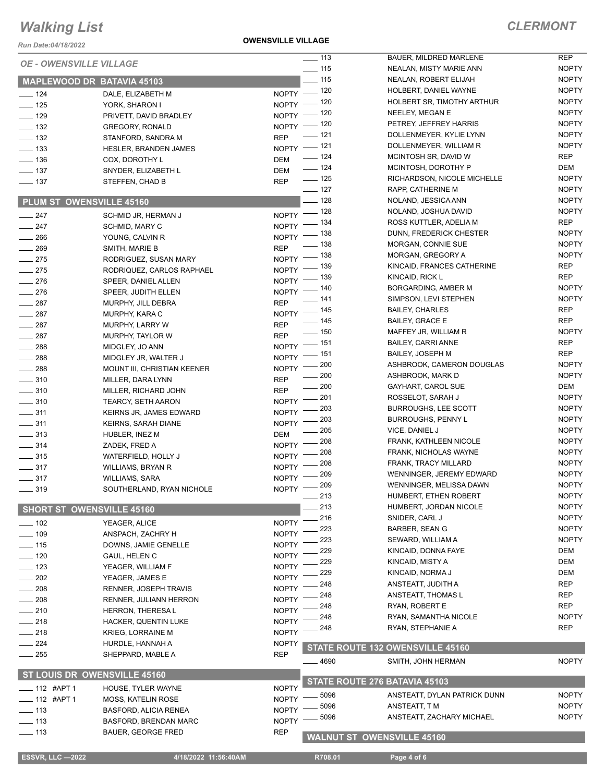*Run Date:04/18/2022*

**OWENSVILLE VILLAGE**

### *CLERMONT*

| <b>OE - OWENSVILLE VILLAGE</b><br><b>NOPTY</b><br>$\frac{1}{15}$<br>NEALAN, MISTY MARIE ANN<br>$\frac{1}{15}$<br><b>NOPTY</b><br>NEALAN, ROBERT ELIJAH<br>MAPLEWOOD DR BATAVIA 45103<br><b>NOPTY</b><br>NOPTY - 120<br>HOLBERT, DANIEL WAYNE<br>$\frac{1}{2}$ 124<br>DALE, ELIZABETH M<br><b>NOPTY</b><br>HOLBERT SR, TIMOTHY ARTHUR<br>$NOPTY$ - 120<br>$- 125$<br>YORK, SHARON I<br><b>NOPTY</b><br>NOPTY - 120<br>NEELEY, MEGAN E<br>$- 129$<br>PRIVETT, DAVID BRADLEY<br><b>NOPTY</b><br>NOPTY - 120<br>PETREY, JEFFREY HARRIS<br>$\frac{1}{2}$ 132<br><b>GREGORY, RONALD</b><br><b>NOPTY</b><br>$\frac{1}{2}$ 121<br>DOLLENMEYER, KYLIE LYNN<br><b>REP</b><br>$\frac{1}{2}$ 132<br>STANFORD, SANDRA M<br><b>NOPTY</b><br>NOPTY - 121<br>DOLLENMEYER, WILLIAM R<br>$\frac{1}{2}$ 133<br><b>HESLER, BRANDEN JAMES</b><br><b>REP</b><br>$- 124$<br>MCINTOSH SR, DAVID W<br>$\frac{1}{2}$ 136<br><b>DEM</b><br>COX, DOROTHY L<br>$\frac{1}{2}$ 124<br>DEM<br>MCINTOSH, DOROTHY P<br>$\frac{1}{2}$ 137<br><b>DEM</b><br>SNYDER, ELIZABETH L<br>$\frac{1}{2}$ 125<br><b>NOPTY</b><br>RICHARDSON, NICOLE MICHELLE<br><b>REP</b><br>$\frac{1}{2}$ 137<br>STEFFEN, CHAD B<br>$\frac{1}{2}$ 127<br><b>NOPTY</b><br>RAPP, CATHERINE M<br>$\equiv$ 128<br><b>NOPTY</b><br>NOLAND, JESSICA ANN<br>PLUM ST OWENSVILLE 45160<br><b>NOPTY</b><br>NOPTY - 128<br>NOLAND, JOSHUA DAVID<br>$\frac{1}{247}$<br>SCHMID JR, HERMAN J<br><b>REP</b><br>NOPTY - 134<br>ROSS KUTTLER, ADELIA M<br>$\frac{247}{2}$<br>SCHMID, MARY C<br><b>NOPTY</b><br>NOPTY - 138<br>DUNN, FREDERICK CHESTER<br>$\frac{1}{266}$<br>YOUNG, CALVIN R<br><b>NOPTY</b><br>MORGAN, CONNIE SUE<br>_ 138<br><b>REP</b><br>$-269$<br>SMITH, MARIE B<br><b>NOPTY</b><br>NOPTY - 138<br>MORGAN, GREGORY A<br>$-275$<br>RODRIGUEZ, SUSAN MARY<br><b>REP</b><br>_ 139<br>KINCAID, FRANCES CATHERINE<br>NOPTY <sup>-</sup><br>$\frac{1}{275}$<br>RODRIQUEZ, CARLOS RAPHAEL<br><b>REP</b><br>- 139<br>KINCAID, RICK L<br>$N$ OPTY -<br>$-276$<br>SPEER, DANIEL ALLEN<br><b>NOPTY</b><br>NOPTY - 140<br>BORGARDING, AMBER M<br>$-276$<br>SPEER, JUDITH ELLEN<br><b>NOPTY</b><br>SIMPSON, LEVI STEPHEN<br>__ 141<br><b>REP</b><br>$\frac{1}{287}$<br>MURPHY, JILL DEBRA<br><b>REP</b><br>NOPTY - 145<br><b>BAILEY, CHARLES</b><br>$\frac{1}{287}$<br>MURPHY, KARA C<br><b>REP</b><br>$\frac{1}{1}$ 145<br><b>BAILEY, GRACE E</b><br><b>REP</b><br>$\frac{1}{287}$<br>MURPHY, LARRY W<br>$\frac{1}{2}$ 150<br><b>NOPTY</b><br>MAFFEY JR, WILLIAM R<br><b>REP</b><br>$\frac{1}{287}$<br>MURPHY, TAYLOR W<br>NOPTY - 151<br><b>REP</b><br><b>BAILEY, CARRI ANNE</b><br>$\frac{1}{288}$<br>MIDGLEY, JO ANN<br><b>REP</b><br><b>BAILEY, JOSEPH M</b><br>NOPTY - 151<br>$-288$<br>MIDGLEY JR, WALTER J<br><b>NOPTY</b><br>200<br>ASHBROOK, CAMERON DOUGLAS<br>$NOPTY$ ––<br>$\frac{1}{288}$<br>MOUNT III, CHRISTIAN KEENER<br><b>NOPTY</b><br>200<br>ASHBROOK, MARK D<br><b>REP</b><br>$\frac{1}{2}$ 310<br>MILLER, DARA LYNN<br>DEM<br>$=200$<br>GAYHART, CAROL SUE<br><b>REP</b><br>$- 310$<br>MILLER, RICHARD JOHN<br>201<br><b>NOPTY</b><br>ROSSELOT, SARAH J<br>NOPTY <sup>-</sup><br>$\frac{1}{2}$ 310<br><b>TEARCY, SETH AARON</b><br><b>NOPTY</b><br>203<br><b>BURROUGHS, LEE SCOTT</b><br><b>NOPTY</b><br>$\frac{1}{2}$ 311<br>KEIRNS JR, JAMES EDWARD<br><b>NOPTY</b><br>203<br><b>BURROUGHS, PENNY L</b><br><b>NOPTY</b><br>$\frac{1}{2}$ 311<br>KEIRNS, SARAH DIANE<br><b>NOPTY</b><br>205<br>VICE, DANIEL J<br>$\frac{1}{2}$ 313<br>DEM<br>HUBLER, INEZ M<br><b>NOPTY</b><br>208<br>FRANK, KATHLEEN NICOLE<br><b>NOPTY</b><br>$\frac{1}{2}$ 314<br>ZADEK, FRED A<br><b>NOPTY</b><br>208<br>FRANK, NICHOLAS WAYNE<br><b>NOPTY</b><br>$\frac{1}{2}$ 315<br>WATERFIELD, HOLLY J<br><b>NOPTY</b><br>208<br>FRANK, TRACY MILLARD<br><b>NOPTY</b><br>$\frac{1}{2}$ 317<br><b>WILLIAMS, BRYAN R</b><br>209<br>WENNINGER, JEREMY EDWARD<br><b>NOPTY</b><br><b>NOPTY</b><br>$\frac{1}{2}$ 317<br><b>WILLIAMS, SARA</b><br><b>NOPTY</b><br>209<br>WENNINGER, MELISSA DAWN<br>$NOPTY =$<br>$\frac{1}{2}$ 319<br>SOUTHERLAND, RYAN NICHOLE<br>213<br><b>NOPTY</b><br>HUMBERT, ETHEN ROBERT<br>213<br><b>NOPTY</b><br>HUMBERT, JORDAN NICOLE<br><b>SHORT ST OWENSVILLE 45160</b><br>216<br><b>NOPTY</b><br>SNIDER, CARL J<br><b>NOPTY</b><br>$- 102$<br>YEAGER, ALICE<br>223<br><b>NOPTY</b><br><b>BARBER, SEAN G</b><br>109<br><b>NOPTY</b><br>ANSPACH, ZACHRY H<br>223<br><b>NOPTY</b><br>SEWARD, WILLIAM A<br>$-115$<br><b>NOPTY</b><br>DOWNS, JAMIE GENELLE<br>229<br>KINCAID, DONNA FAYE<br>DEM<br><b>NOPTY</b><br>$-120$<br>GAUL, HELEN C<br>229<br><b>DEM</b><br>KINCAID, MISTY A<br>$\equiv$ 123<br><b>NOPTY</b><br>YEAGER, WILLIAM F<br>229<br>DEM<br>KINCAID, NORMA J<br>$-202$<br><b>NOPTY</b><br>YEAGER, JAMES E<br><b>REP</b><br>248<br>ANSTEATT, JUDITH A<br><b>NOPTY</b><br>208<br><b>RENNER, JOSEPH TRAVIS</b><br><b>REP</b><br>248<br>ANSTEATT, THOMAS L<br>208<br><b>NOPTY</b><br>RENNER, JULIANN HERRON<br><b>REP</b><br>248<br>RYAN, ROBERT E<br>$-210$<br><b>NOPTY</b><br>HERRON, THERESA L<br>248<br><b>NOPTY</b><br>RYAN, SAMANTHA NICOLE<br><b>NOPTY</b><br>$-218$<br>HACKER, QUENTIN LUKE<br>248<br><b>REP</b><br>RYAN, STEPHANIE A<br><b>NOPTY</b><br>$-218$<br>KRIEG, LORRAINE M<br>$\sim$ 224<br><b>NOPTY</b><br>HURDLE, HANNAH A<br>STATE ROUTE 132 OWENSVILLE 45160<br><b>REP</b><br>$=255$<br>SHEPPARD, MABLE A<br><b>NOPTY</b><br>4690<br>SMITH, JOHN HERMAN<br>ST LOUIS DR OWENSVILLE 45160<br>STATE ROUTE 276 BATAVIA 45103<br><b>NOPTY</b><br>_ 112 #APT 1<br>HOUSE, TYLER WAYNE<br>5096<br><b>NOPTY</b><br>ANSTEATT, DYLAN PATRICK DUNN<br><b>NOPTY</b><br>$-$ 112 #APT 1<br><b>MOSS, KATELIN ROSE</b><br>5096<br><b>NOPTY</b><br>ANSTEATT, T M<br>$\equiv$ 113<br><b>NOPTY</b><br><b>BASFORD, ALICIA RENEA</b><br>5096<br>ANSTEATT, ZACHARY MICHAEL<br><b>NOPTY</b><br><b>NOPTY</b><br>$- 113$<br><b>BASFORD, BRENDAN MARC</b><br><b>REP</b><br>$\frac{1}{2}$ 113<br><b>BAUER, GEORGE FRED</b><br><b>WALNUT ST OWENSVILLE 45160</b><br><b>ESSVR, LLC -2022</b><br>4/18/2022 11:56:40AM<br>R708.01<br>Page 4 of 6 |  | $\overline{\phantom{0}}$ 113 | <b>BAUER, MILDRED MARLENE</b> | <b>REP</b> |
|----------------------------------------------------------------------------------------------------------------------------------------------------------------------------------------------------------------------------------------------------------------------------------------------------------------------------------------------------------------------------------------------------------------------------------------------------------------------------------------------------------------------------------------------------------------------------------------------------------------------------------------------------------------------------------------------------------------------------------------------------------------------------------------------------------------------------------------------------------------------------------------------------------------------------------------------------------------------------------------------------------------------------------------------------------------------------------------------------------------------------------------------------------------------------------------------------------------------------------------------------------------------------------------------------------------------------------------------------------------------------------------------------------------------------------------------------------------------------------------------------------------------------------------------------------------------------------------------------------------------------------------------------------------------------------------------------------------------------------------------------------------------------------------------------------------------------------------------------------------------------------------------------------------------------------------------------------------------------------------------------------------------------------------------------------------------------------------------------------------------------------------------------------------------------------------------------------------------------------------------------------------------------------------------------------------------------------------------------------------------------------------------------------------------------------------------------------------------------------------------------------------------------------------------------------------------------------------------------------------------------------------------------------------------------------------------------------------------------------------------------------------------------------------------------------------------------------------------------------------------------------------------------------------------------------------------------------------------------------------------------------------------------------------------------------------------------------------------------------------------------------------------------------------------------------------------------------------------------------------------------------------------------------------------------------------------------------------------------------------------------------------------------------------------------------------------------------------------------------------------------------------------------------------------------------------------------------------------------------------------------------------------------------------------------------------------------------------------------------------------------------------------------------------------------------------------------------------------------------------------------------------------------------------------------------------------------------------------------------------------------------------------------------------------------------------------------------------------------------------------------------------------------------------------------------------------------------------------------------------------------------------------------------------------------------------------------------------------------------------------------------------------------------------------------------------------------------------------------------------------------------------------------------------------------------------------------------------------------------------------------------------------------------------------------------------------------------------------------------------------------------------------------------------------------------------------------------------------------------------------------------------------------------------------------------------------------------------------------------------------------------------------------------------------------------------------------------------------------------------------------------------------------------------------------------------------------------------------------------------------------------------------------------------------------------------------------------------------------------------------------------------------------------------------------------------------------------------------------------------------------------------------------------------------------------------------------------------------------------------------------------------------------------------------------------------------------------------------------------------------------------------------------------------------------------------------------------------------------------------------------------------------------------------------------------------------------------------------------------------------------------------------------------------------------------------------------------------------|--|------------------------------|-------------------------------|------------|
|                                                                                                                                                                                                                                                                                                                                                                                                                                                                                                                                                                                                                                                                                                                                                                                                                                                                                                                                                                                                                                                                                                                                                                                                                                                                                                                                                                                                                                                                                                                                                                                                                                                                                                                                                                                                                                                                                                                                                                                                                                                                                                                                                                                                                                                                                                                                                                                                                                                                                                                                                                                                                                                                                                                                                                                                                                                                                                                                                                                                                                                                                                                                                                                                                                                                                                                                                                                                                                                                                                                                                                                                                                                                                                                                                                                                                                                                                                                                                                                                                                                                                                                                                                                                                                                                                                                                                                                                                                                                                                                                                                                                                                                                                                                                                                                                                                                                                                                                                                                                                                                                                                                                                                                                                                                                                                                                                                                                                                                                                                                                                                                                                                                                                                                                                                                                                                                                                                                                                                                                                                                                                              |  |                              |                               |            |
|                                                                                                                                                                                                                                                                                                                                                                                                                                                                                                                                                                                                                                                                                                                                                                                                                                                                                                                                                                                                                                                                                                                                                                                                                                                                                                                                                                                                                                                                                                                                                                                                                                                                                                                                                                                                                                                                                                                                                                                                                                                                                                                                                                                                                                                                                                                                                                                                                                                                                                                                                                                                                                                                                                                                                                                                                                                                                                                                                                                                                                                                                                                                                                                                                                                                                                                                                                                                                                                                                                                                                                                                                                                                                                                                                                                                                                                                                                                                                                                                                                                                                                                                                                                                                                                                                                                                                                                                                                                                                                                                                                                                                                                                                                                                                                                                                                                                                                                                                                                                                                                                                                                                                                                                                                                                                                                                                                                                                                                                                                                                                                                                                                                                                                                                                                                                                                                                                                                                                                                                                                                                                              |  |                              |                               |            |
|                                                                                                                                                                                                                                                                                                                                                                                                                                                                                                                                                                                                                                                                                                                                                                                                                                                                                                                                                                                                                                                                                                                                                                                                                                                                                                                                                                                                                                                                                                                                                                                                                                                                                                                                                                                                                                                                                                                                                                                                                                                                                                                                                                                                                                                                                                                                                                                                                                                                                                                                                                                                                                                                                                                                                                                                                                                                                                                                                                                                                                                                                                                                                                                                                                                                                                                                                                                                                                                                                                                                                                                                                                                                                                                                                                                                                                                                                                                                                                                                                                                                                                                                                                                                                                                                                                                                                                                                                                                                                                                                                                                                                                                                                                                                                                                                                                                                                                                                                                                                                                                                                                                                                                                                                                                                                                                                                                                                                                                                                                                                                                                                                                                                                                                                                                                                                                                                                                                                                                                                                                                                                              |  |                              |                               |            |
|                                                                                                                                                                                                                                                                                                                                                                                                                                                                                                                                                                                                                                                                                                                                                                                                                                                                                                                                                                                                                                                                                                                                                                                                                                                                                                                                                                                                                                                                                                                                                                                                                                                                                                                                                                                                                                                                                                                                                                                                                                                                                                                                                                                                                                                                                                                                                                                                                                                                                                                                                                                                                                                                                                                                                                                                                                                                                                                                                                                                                                                                                                                                                                                                                                                                                                                                                                                                                                                                                                                                                                                                                                                                                                                                                                                                                                                                                                                                                                                                                                                                                                                                                                                                                                                                                                                                                                                                                                                                                                                                                                                                                                                                                                                                                                                                                                                                                                                                                                                                                                                                                                                                                                                                                                                                                                                                                                                                                                                                                                                                                                                                                                                                                                                                                                                                                                                                                                                                                                                                                                                                                              |  |                              |                               |            |
|                                                                                                                                                                                                                                                                                                                                                                                                                                                                                                                                                                                                                                                                                                                                                                                                                                                                                                                                                                                                                                                                                                                                                                                                                                                                                                                                                                                                                                                                                                                                                                                                                                                                                                                                                                                                                                                                                                                                                                                                                                                                                                                                                                                                                                                                                                                                                                                                                                                                                                                                                                                                                                                                                                                                                                                                                                                                                                                                                                                                                                                                                                                                                                                                                                                                                                                                                                                                                                                                                                                                                                                                                                                                                                                                                                                                                                                                                                                                                                                                                                                                                                                                                                                                                                                                                                                                                                                                                                                                                                                                                                                                                                                                                                                                                                                                                                                                                                                                                                                                                                                                                                                                                                                                                                                                                                                                                                                                                                                                                                                                                                                                                                                                                                                                                                                                                                                                                                                                                                                                                                                                                              |  |                              |                               |            |
|                                                                                                                                                                                                                                                                                                                                                                                                                                                                                                                                                                                                                                                                                                                                                                                                                                                                                                                                                                                                                                                                                                                                                                                                                                                                                                                                                                                                                                                                                                                                                                                                                                                                                                                                                                                                                                                                                                                                                                                                                                                                                                                                                                                                                                                                                                                                                                                                                                                                                                                                                                                                                                                                                                                                                                                                                                                                                                                                                                                                                                                                                                                                                                                                                                                                                                                                                                                                                                                                                                                                                                                                                                                                                                                                                                                                                                                                                                                                                                                                                                                                                                                                                                                                                                                                                                                                                                                                                                                                                                                                                                                                                                                                                                                                                                                                                                                                                                                                                                                                                                                                                                                                                                                                                                                                                                                                                                                                                                                                                                                                                                                                                                                                                                                                                                                                                                                                                                                                                                                                                                                                                              |  |                              |                               |            |
|                                                                                                                                                                                                                                                                                                                                                                                                                                                                                                                                                                                                                                                                                                                                                                                                                                                                                                                                                                                                                                                                                                                                                                                                                                                                                                                                                                                                                                                                                                                                                                                                                                                                                                                                                                                                                                                                                                                                                                                                                                                                                                                                                                                                                                                                                                                                                                                                                                                                                                                                                                                                                                                                                                                                                                                                                                                                                                                                                                                                                                                                                                                                                                                                                                                                                                                                                                                                                                                                                                                                                                                                                                                                                                                                                                                                                                                                                                                                                                                                                                                                                                                                                                                                                                                                                                                                                                                                                                                                                                                                                                                                                                                                                                                                                                                                                                                                                                                                                                                                                                                                                                                                                                                                                                                                                                                                                                                                                                                                                                                                                                                                                                                                                                                                                                                                                                                                                                                                                                                                                                                                                              |  |                              |                               |            |
|                                                                                                                                                                                                                                                                                                                                                                                                                                                                                                                                                                                                                                                                                                                                                                                                                                                                                                                                                                                                                                                                                                                                                                                                                                                                                                                                                                                                                                                                                                                                                                                                                                                                                                                                                                                                                                                                                                                                                                                                                                                                                                                                                                                                                                                                                                                                                                                                                                                                                                                                                                                                                                                                                                                                                                                                                                                                                                                                                                                                                                                                                                                                                                                                                                                                                                                                                                                                                                                                                                                                                                                                                                                                                                                                                                                                                                                                                                                                                                                                                                                                                                                                                                                                                                                                                                                                                                                                                                                                                                                                                                                                                                                                                                                                                                                                                                                                                                                                                                                                                                                                                                                                                                                                                                                                                                                                                                                                                                                                                                                                                                                                                                                                                                                                                                                                                                                                                                                                                                                                                                                                                              |  |                              |                               |            |
|                                                                                                                                                                                                                                                                                                                                                                                                                                                                                                                                                                                                                                                                                                                                                                                                                                                                                                                                                                                                                                                                                                                                                                                                                                                                                                                                                                                                                                                                                                                                                                                                                                                                                                                                                                                                                                                                                                                                                                                                                                                                                                                                                                                                                                                                                                                                                                                                                                                                                                                                                                                                                                                                                                                                                                                                                                                                                                                                                                                                                                                                                                                                                                                                                                                                                                                                                                                                                                                                                                                                                                                                                                                                                                                                                                                                                                                                                                                                                                                                                                                                                                                                                                                                                                                                                                                                                                                                                                                                                                                                                                                                                                                                                                                                                                                                                                                                                                                                                                                                                                                                                                                                                                                                                                                                                                                                                                                                                                                                                                                                                                                                                                                                                                                                                                                                                                                                                                                                                                                                                                                                                              |  |                              |                               |            |
|                                                                                                                                                                                                                                                                                                                                                                                                                                                                                                                                                                                                                                                                                                                                                                                                                                                                                                                                                                                                                                                                                                                                                                                                                                                                                                                                                                                                                                                                                                                                                                                                                                                                                                                                                                                                                                                                                                                                                                                                                                                                                                                                                                                                                                                                                                                                                                                                                                                                                                                                                                                                                                                                                                                                                                                                                                                                                                                                                                                                                                                                                                                                                                                                                                                                                                                                                                                                                                                                                                                                                                                                                                                                                                                                                                                                                                                                                                                                                                                                                                                                                                                                                                                                                                                                                                                                                                                                                                                                                                                                                                                                                                                                                                                                                                                                                                                                                                                                                                                                                                                                                                                                                                                                                                                                                                                                                                                                                                                                                                                                                                                                                                                                                                                                                                                                                                                                                                                                                                                                                                                                                              |  |                              |                               |            |
|                                                                                                                                                                                                                                                                                                                                                                                                                                                                                                                                                                                                                                                                                                                                                                                                                                                                                                                                                                                                                                                                                                                                                                                                                                                                                                                                                                                                                                                                                                                                                                                                                                                                                                                                                                                                                                                                                                                                                                                                                                                                                                                                                                                                                                                                                                                                                                                                                                                                                                                                                                                                                                                                                                                                                                                                                                                                                                                                                                                                                                                                                                                                                                                                                                                                                                                                                                                                                                                                                                                                                                                                                                                                                                                                                                                                                                                                                                                                                                                                                                                                                                                                                                                                                                                                                                                                                                                                                                                                                                                                                                                                                                                                                                                                                                                                                                                                                                                                                                                                                                                                                                                                                                                                                                                                                                                                                                                                                                                                                                                                                                                                                                                                                                                                                                                                                                                                                                                                                                                                                                                                                              |  |                              |                               |            |
|                                                                                                                                                                                                                                                                                                                                                                                                                                                                                                                                                                                                                                                                                                                                                                                                                                                                                                                                                                                                                                                                                                                                                                                                                                                                                                                                                                                                                                                                                                                                                                                                                                                                                                                                                                                                                                                                                                                                                                                                                                                                                                                                                                                                                                                                                                                                                                                                                                                                                                                                                                                                                                                                                                                                                                                                                                                                                                                                                                                                                                                                                                                                                                                                                                                                                                                                                                                                                                                                                                                                                                                                                                                                                                                                                                                                                                                                                                                                                                                                                                                                                                                                                                                                                                                                                                                                                                                                                                                                                                                                                                                                                                                                                                                                                                                                                                                                                                                                                                                                                                                                                                                                                                                                                                                                                                                                                                                                                                                                                                                                                                                                                                                                                                                                                                                                                                                                                                                                                                                                                                                                                              |  |                              |                               |            |
|                                                                                                                                                                                                                                                                                                                                                                                                                                                                                                                                                                                                                                                                                                                                                                                                                                                                                                                                                                                                                                                                                                                                                                                                                                                                                                                                                                                                                                                                                                                                                                                                                                                                                                                                                                                                                                                                                                                                                                                                                                                                                                                                                                                                                                                                                                                                                                                                                                                                                                                                                                                                                                                                                                                                                                                                                                                                                                                                                                                                                                                                                                                                                                                                                                                                                                                                                                                                                                                                                                                                                                                                                                                                                                                                                                                                                                                                                                                                                                                                                                                                                                                                                                                                                                                                                                                                                                                                                                                                                                                                                                                                                                                                                                                                                                                                                                                                                                                                                                                                                                                                                                                                                                                                                                                                                                                                                                                                                                                                                                                                                                                                                                                                                                                                                                                                                                                                                                                                                                                                                                                                                              |  |                              |                               |            |
|                                                                                                                                                                                                                                                                                                                                                                                                                                                                                                                                                                                                                                                                                                                                                                                                                                                                                                                                                                                                                                                                                                                                                                                                                                                                                                                                                                                                                                                                                                                                                                                                                                                                                                                                                                                                                                                                                                                                                                                                                                                                                                                                                                                                                                                                                                                                                                                                                                                                                                                                                                                                                                                                                                                                                                                                                                                                                                                                                                                                                                                                                                                                                                                                                                                                                                                                                                                                                                                                                                                                                                                                                                                                                                                                                                                                                                                                                                                                                                                                                                                                                                                                                                                                                                                                                                                                                                                                                                                                                                                                                                                                                                                                                                                                                                                                                                                                                                                                                                                                                                                                                                                                                                                                                                                                                                                                                                                                                                                                                                                                                                                                                                                                                                                                                                                                                                                                                                                                                                                                                                                                                              |  |                              |                               |            |
|                                                                                                                                                                                                                                                                                                                                                                                                                                                                                                                                                                                                                                                                                                                                                                                                                                                                                                                                                                                                                                                                                                                                                                                                                                                                                                                                                                                                                                                                                                                                                                                                                                                                                                                                                                                                                                                                                                                                                                                                                                                                                                                                                                                                                                                                                                                                                                                                                                                                                                                                                                                                                                                                                                                                                                                                                                                                                                                                                                                                                                                                                                                                                                                                                                                                                                                                                                                                                                                                                                                                                                                                                                                                                                                                                                                                                                                                                                                                                                                                                                                                                                                                                                                                                                                                                                                                                                                                                                                                                                                                                                                                                                                                                                                                                                                                                                                                                                                                                                                                                                                                                                                                                                                                                                                                                                                                                                                                                                                                                                                                                                                                                                                                                                                                                                                                                                                                                                                                                                                                                                                                                              |  |                              |                               |            |
|                                                                                                                                                                                                                                                                                                                                                                                                                                                                                                                                                                                                                                                                                                                                                                                                                                                                                                                                                                                                                                                                                                                                                                                                                                                                                                                                                                                                                                                                                                                                                                                                                                                                                                                                                                                                                                                                                                                                                                                                                                                                                                                                                                                                                                                                                                                                                                                                                                                                                                                                                                                                                                                                                                                                                                                                                                                                                                                                                                                                                                                                                                                                                                                                                                                                                                                                                                                                                                                                                                                                                                                                                                                                                                                                                                                                                                                                                                                                                                                                                                                                                                                                                                                                                                                                                                                                                                                                                                                                                                                                                                                                                                                                                                                                                                                                                                                                                                                                                                                                                                                                                                                                                                                                                                                                                                                                                                                                                                                                                                                                                                                                                                                                                                                                                                                                                                                                                                                                                                                                                                                                                              |  |                              |                               |            |
|                                                                                                                                                                                                                                                                                                                                                                                                                                                                                                                                                                                                                                                                                                                                                                                                                                                                                                                                                                                                                                                                                                                                                                                                                                                                                                                                                                                                                                                                                                                                                                                                                                                                                                                                                                                                                                                                                                                                                                                                                                                                                                                                                                                                                                                                                                                                                                                                                                                                                                                                                                                                                                                                                                                                                                                                                                                                                                                                                                                                                                                                                                                                                                                                                                                                                                                                                                                                                                                                                                                                                                                                                                                                                                                                                                                                                                                                                                                                                                                                                                                                                                                                                                                                                                                                                                                                                                                                                                                                                                                                                                                                                                                                                                                                                                                                                                                                                                                                                                                                                                                                                                                                                                                                                                                                                                                                                                                                                                                                                                                                                                                                                                                                                                                                                                                                                                                                                                                                                                                                                                                                                              |  |                              |                               |            |
|                                                                                                                                                                                                                                                                                                                                                                                                                                                                                                                                                                                                                                                                                                                                                                                                                                                                                                                                                                                                                                                                                                                                                                                                                                                                                                                                                                                                                                                                                                                                                                                                                                                                                                                                                                                                                                                                                                                                                                                                                                                                                                                                                                                                                                                                                                                                                                                                                                                                                                                                                                                                                                                                                                                                                                                                                                                                                                                                                                                                                                                                                                                                                                                                                                                                                                                                                                                                                                                                                                                                                                                                                                                                                                                                                                                                                                                                                                                                                                                                                                                                                                                                                                                                                                                                                                                                                                                                                                                                                                                                                                                                                                                                                                                                                                                                                                                                                                                                                                                                                                                                                                                                                                                                                                                                                                                                                                                                                                                                                                                                                                                                                                                                                                                                                                                                                                                                                                                                                                                                                                                                                              |  |                              |                               |            |
|                                                                                                                                                                                                                                                                                                                                                                                                                                                                                                                                                                                                                                                                                                                                                                                                                                                                                                                                                                                                                                                                                                                                                                                                                                                                                                                                                                                                                                                                                                                                                                                                                                                                                                                                                                                                                                                                                                                                                                                                                                                                                                                                                                                                                                                                                                                                                                                                                                                                                                                                                                                                                                                                                                                                                                                                                                                                                                                                                                                                                                                                                                                                                                                                                                                                                                                                                                                                                                                                                                                                                                                                                                                                                                                                                                                                                                                                                                                                                                                                                                                                                                                                                                                                                                                                                                                                                                                                                                                                                                                                                                                                                                                                                                                                                                                                                                                                                                                                                                                                                                                                                                                                                                                                                                                                                                                                                                                                                                                                                                                                                                                                                                                                                                                                                                                                                                                                                                                                                                                                                                                                                              |  |                              |                               |            |
|                                                                                                                                                                                                                                                                                                                                                                                                                                                                                                                                                                                                                                                                                                                                                                                                                                                                                                                                                                                                                                                                                                                                                                                                                                                                                                                                                                                                                                                                                                                                                                                                                                                                                                                                                                                                                                                                                                                                                                                                                                                                                                                                                                                                                                                                                                                                                                                                                                                                                                                                                                                                                                                                                                                                                                                                                                                                                                                                                                                                                                                                                                                                                                                                                                                                                                                                                                                                                                                                                                                                                                                                                                                                                                                                                                                                                                                                                                                                                                                                                                                                                                                                                                                                                                                                                                                                                                                                                                                                                                                                                                                                                                                                                                                                                                                                                                                                                                                                                                                                                                                                                                                                                                                                                                                                                                                                                                                                                                                                                                                                                                                                                                                                                                                                                                                                                                                                                                                                                                                                                                                                                              |  |                              |                               |            |
|                                                                                                                                                                                                                                                                                                                                                                                                                                                                                                                                                                                                                                                                                                                                                                                                                                                                                                                                                                                                                                                                                                                                                                                                                                                                                                                                                                                                                                                                                                                                                                                                                                                                                                                                                                                                                                                                                                                                                                                                                                                                                                                                                                                                                                                                                                                                                                                                                                                                                                                                                                                                                                                                                                                                                                                                                                                                                                                                                                                                                                                                                                                                                                                                                                                                                                                                                                                                                                                                                                                                                                                                                                                                                                                                                                                                                                                                                                                                                                                                                                                                                                                                                                                                                                                                                                                                                                                                                                                                                                                                                                                                                                                                                                                                                                                                                                                                                                                                                                                                                                                                                                                                                                                                                                                                                                                                                                                                                                                                                                                                                                                                                                                                                                                                                                                                                                                                                                                                                                                                                                                                                              |  |                              |                               |            |
|                                                                                                                                                                                                                                                                                                                                                                                                                                                                                                                                                                                                                                                                                                                                                                                                                                                                                                                                                                                                                                                                                                                                                                                                                                                                                                                                                                                                                                                                                                                                                                                                                                                                                                                                                                                                                                                                                                                                                                                                                                                                                                                                                                                                                                                                                                                                                                                                                                                                                                                                                                                                                                                                                                                                                                                                                                                                                                                                                                                                                                                                                                                                                                                                                                                                                                                                                                                                                                                                                                                                                                                                                                                                                                                                                                                                                                                                                                                                                                                                                                                                                                                                                                                                                                                                                                                                                                                                                                                                                                                                                                                                                                                                                                                                                                                                                                                                                                                                                                                                                                                                                                                                                                                                                                                                                                                                                                                                                                                                                                                                                                                                                                                                                                                                                                                                                                                                                                                                                                                                                                                                                              |  |                              |                               |            |
|                                                                                                                                                                                                                                                                                                                                                                                                                                                                                                                                                                                                                                                                                                                                                                                                                                                                                                                                                                                                                                                                                                                                                                                                                                                                                                                                                                                                                                                                                                                                                                                                                                                                                                                                                                                                                                                                                                                                                                                                                                                                                                                                                                                                                                                                                                                                                                                                                                                                                                                                                                                                                                                                                                                                                                                                                                                                                                                                                                                                                                                                                                                                                                                                                                                                                                                                                                                                                                                                                                                                                                                                                                                                                                                                                                                                                                                                                                                                                                                                                                                                                                                                                                                                                                                                                                                                                                                                                                                                                                                                                                                                                                                                                                                                                                                                                                                                                                                                                                                                                                                                                                                                                                                                                                                                                                                                                                                                                                                                                                                                                                                                                                                                                                                                                                                                                                                                                                                                                                                                                                                                                              |  |                              |                               |            |
|                                                                                                                                                                                                                                                                                                                                                                                                                                                                                                                                                                                                                                                                                                                                                                                                                                                                                                                                                                                                                                                                                                                                                                                                                                                                                                                                                                                                                                                                                                                                                                                                                                                                                                                                                                                                                                                                                                                                                                                                                                                                                                                                                                                                                                                                                                                                                                                                                                                                                                                                                                                                                                                                                                                                                                                                                                                                                                                                                                                                                                                                                                                                                                                                                                                                                                                                                                                                                                                                                                                                                                                                                                                                                                                                                                                                                                                                                                                                                                                                                                                                                                                                                                                                                                                                                                                                                                                                                                                                                                                                                                                                                                                                                                                                                                                                                                                                                                                                                                                                                                                                                                                                                                                                                                                                                                                                                                                                                                                                                                                                                                                                                                                                                                                                                                                                                                                                                                                                                                                                                                                                                              |  |                              |                               |            |
|                                                                                                                                                                                                                                                                                                                                                                                                                                                                                                                                                                                                                                                                                                                                                                                                                                                                                                                                                                                                                                                                                                                                                                                                                                                                                                                                                                                                                                                                                                                                                                                                                                                                                                                                                                                                                                                                                                                                                                                                                                                                                                                                                                                                                                                                                                                                                                                                                                                                                                                                                                                                                                                                                                                                                                                                                                                                                                                                                                                                                                                                                                                                                                                                                                                                                                                                                                                                                                                                                                                                                                                                                                                                                                                                                                                                                                                                                                                                                                                                                                                                                                                                                                                                                                                                                                                                                                                                                                                                                                                                                                                                                                                                                                                                                                                                                                                                                                                                                                                                                                                                                                                                                                                                                                                                                                                                                                                                                                                                                                                                                                                                                                                                                                                                                                                                                                                                                                                                                                                                                                                                                              |  |                              |                               |            |
|                                                                                                                                                                                                                                                                                                                                                                                                                                                                                                                                                                                                                                                                                                                                                                                                                                                                                                                                                                                                                                                                                                                                                                                                                                                                                                                                                                                                                                                                                                                                                                                                                                                                                                                                                                                                                                                                                                                                                                                                                                                                                                                                                                                                                                                                                                                                                                                                                                                                                                                                                                                                                                                                                                                                                                                                                                                                                                                                                                                                                                                                                                                                                                                                                                                                                                                                                                                                                                                                                                                                                                                                                                                                                                                                                                                                                                                                                                                                                                                                                                                                                                                                                                                                                                                                                                                                                                                                                                                                                                                                                                                                                                                                                                                                                                                                                                                                                                                                                                                                                                                                                                                                                                                                                                                                                                                                                                                                                                                                                                                                                                                                                                                                                                                                                                                                                                                                                                                                                                                                                                                                                              |  |                              |                               |            |
|                                                                                                                                                                                                                                                                                                                                                                                                                                                                                                                                                                                                                                                                                                                                                                                                                                                                                                                                                                                                                                                                                                                                                                                                                                                                                                                                                                                                                                                                                                                                                                                                                                                                                                                                                                                                                                                                                                                                                                                                                                                                                                                                                                                                                                                                                                                                                                                                                                                                                                                                                                                                                                                                                                                                                                                                                                                                                                                                                                                                                                                                                                                                                                                                                                                                                                                                                                                                                                                                                                                                                                                                                                                                                                                                                                                                                                                                                                                                                                                                                                                                                                                                                                                                                                                                                                                                                                                                                                                                                                                                                                                                                                                                                                                                                                                                                                                                                                                                                                                                                                                                                                                                                                                                                                                                                                                                                                                                                                                                                                                                                                                                                                                                                                                                                                                                                                                                                                                                                                                                                                                                                              |  |                              |                               |            |
|                                                                                                                                                                                                                                                                                                                                                                                                                                                                                                                                                                                                                                                                                                                                                                                                                                                                                                                                                                                                                                                                                                                                                                                                                                                                                                                                                                                                                                                                                                                                                                                                                                                                                                                                                                                                                                                                                                                                                                                                                                                                                                                                                                                                                                                                                                                                                                                                                                                                                                                                                                                                                                                                                                                                                                                                                                                                                                                                                                                                                                                                                                                                                                                                                                                                                                                                                                                                                                                                                                                                                                                                                                                                                                                                                                                                                                                                                                                                                                                                                                                                                                                                                                                                                                                                                                                                                                                                                                                                                                                                                                                                                                                                                                                                                                                                                                                                                                                                                                                                                                                                                                                                                                                                                                                                                                                                                                                                                                                                                                                                                                                                                                                                                                                                                                                                                                                                                                                                                                                                                                                                                              |  |                              |                               |            |
|                                                                                                                                                                                                                                                                                                                                                                                                                                                                                                                                                                                                                                                                                                                                                                                                                                                                                                                                                                                                                                                                                                                                                                                                                                                                                                                                                                                                                                                                                                                                                                                                                                                                                                                                                                                                                                                                                                                                                                                                                                                                                                                                                                                                                                                                                                                                                                                                                                                                                                                                                                                                                                                                                                                                                                                                                                                                                                                                                                                                                                                                                                                                                                                                                                                                                                                                                                                                                                                                                                                                                                                                                                                                                                                                                                                                                                                                                                                                                                                                                                                                                                                                                                                                                                                                                                                                                                                                                                                                                                                                                                                                                                                                                                                                                                                                                                                                                                                                                                                                                                                                                                                                                                                                                                                                                                                                                                                                                                                                                                                                                                                                                                                                                                                                                                                                                                                                                                                                                                                                                                                                                              |  |                              |                               |            |
|                                                                                                                                                                                                                                                                                                                                                                                                                                                                                                                                                                                                                                                                                                                                                                                                                                                                                                                                                                                                                                                                                                                                                                                                                                                                                                                                                                                                                                                                                                                                                                                                                                                                                                                                                                                                                                                                                                                                                                                                                                                                                                                                                                                                                                                                                                                                                                                                                                                                                                                                                                                                                                                                                                                                                                                                                                                                                                                                                                                                                                                                                                                                                                                                                                                                                                                                                                                                                                                                                                                                                                                                                                                                                                                                                                                                                                                                                                                                                                                                                                                                                                                                                                                                                                                                                                                                                                                                                                                                                                                                                                                                                                                                                                                                                                                                                                                                                                                                                                                                                                                                                                                                                                                                                                                                                                                                                                                                                                                                                                                                                                                                                                                                                                                                                                                                                                                                                                                                                                                                                                                                                              |  |                              |                               |            |
|                                                                                                                                                                                                                                                                                                                                                                                                                                                                                                                                                                                                                                                                                                                                                                                                                                                                                                                                                                                                                                                                                                                                                                                                                                                                                                                                                                                                                                                                                                                                                                                                                                                                                                                                                                                                                                                                                                                                                                                                                                                                                                                                                                                                                                                                                                                                                                                                                                                                                                                                                                                                                                                                                                                                                                                                                                                                                                                                                                                                                                                                                                                                                                                                                                                                                                                                                                                                                                                                                                                                                                                                                                                                                                                                                                                                                                                                                                                                                                                                                                                                                                                                                                                                                                                                                                                                                                                                                                                                                                                                                                                                                                                                                                                                                                                                                                                                                                                                                                                                                                                                                                                                                                                                                                                                                                                                                                                                                                                                                                                                                                                                                                                                                                                                                                                                                                                                                                                                                                                                                                                                                              |  |                              |                               |            |
|                                                                                                                                                                                                                                                                                                                                                                                                                                                                                                                                                                                                                                                                                                                                                                                                                                                                                                                                                                                                                                                                                                                                                                                                                                                                                                                                                                                                                                                                                                                                                                                                                                                                                                                                                                                                                                                                                                                                                                                                                                                                                                                                                                                                                                                                                                                                                                                                                                                                                                                                                                                                                                                                                                                                                                                                                                                                                                                                                                                                                                                                                                                                                                                                                                                                                                                                                                                                                                                                                                                                                                                                                                                                                                                                                                                                                                                                                                                                                                                                                                                                                                                                                                                                                                                                                                                                                                                                                                                                                                                                                                                                                                                                                                                                                                                                                                                                                                                                                                                                                                                                                                                                                                                                                                                                                                                                                                                                                                                                                                                                                                                                                                                                                                                                                                                                                                                                                                                                                                                                                                                                                              |  |                              |                               |            |
|                                                                                                                                                                                                                                                                                                                                                                                                                                                                                                                                                                                                                                                                                                                                                                                                                                                                                                                                                                                                                                                                                                                                                                                                                                                                                                                                                                                                                                                                                                                                                                                                                                                                                                                                                                                                                                                                                                                                                                                                                                                                                                                                                                                                                                                                                                                                                                                                                                                                                                                                                                                                                                                                                                                                                                                                                                                                                                                                                                                                                                                                                                                                                                                                                                                                                                                                                                                                                                                                                                                                                                                                                                                                                                                                                                                                                                                                                                                                                                                                                                                                                                                                                                                                                                                                                                                                                                                                                                                                                                                                                                                                                                                                                                                                                                                                                                                                                                                                                                                                                                                                                                                                                                                                                                                                                                                                                                                                                                                                                                                                                                                                                                                                                                                                                                                                                                                                                                                                                                                                                                                                                              |  |                              |                               |            |
|                                                                                                                                                                                                                                                                                                                                                                                                                                                                                                                                                                                                                                                                                                                                                                                                                                                                                                                                                                                                                                                                                                                                                                                                                                                                                                                                                                                                                                                                                                                                                                                                                                                                                                                                                                                                                                                                                                                                                                                                                                                                                                                                                                                                                                                                                                                                                                                                                                                                                                                                                                                                                                                                                                                                                                                                                                                                                                                                                                                                                                                                                                                                                                                                                                                                                                                                                                                                                                                                                                                                                                                                                                                                                                                                                                                                                                                                                                                                                                                                                                                                                                                                                                                                                                                                                                                                                                                                                                                                                                                                                                                                                                                                                                                                                                                                                                                                                                                                                                                                                                                                                                                                                                                                                                                                                                                                                                                                                                                                                                                                                                                                                                                                                                                                                                                                                                                                                                                                                                                                                                                                                              |  |                              |                               |            |
|                                                                                                                                                                                                                                                                                                                                                                                                                                                                                                                                                                                                                                                                                                                                                                                                                                                                                                                                                                                                                                                                                                                                                                                                                                                                                                                                                                                                                                                                                                                                                                                                                                                                                                                                                                                                                                                                                                                                                                                                                                                                                                                                                                                                                                                                                                                                                                                                                                                                                                                                                                                                                                                                                                                                                                                                                                                                                                                                                                                                                                                                                                                                                                                                                                                                                                                                                                                                                                                                                                                                                                                                                                                                                                                                                                                                                                                                                                                                                                                                                                                                                                                                                                                                                                                                                                                                                                                                                                                                                                                                                                                                                                                                                                                                                                                                                                                                                                                                                                                                                                                                                                                                                                                                                                                                                                                                                                                                                                                                                                                                                                                                                                                                                                                                                                                                                                                                                                                                                                                                                                                                                              |  |                              |                               |            |
|                                                                                                                                                                                                                                                                                                                                                                                                                                                                                                                                                                                                                                                                                                                                                                                                                                                                                                                                                                                                                                                                                                                                                                                                                                                                                                                                                                                                                                                                                                                                                                                                                                                                                                                                                                                                                                                                                                                                                                                                                                                                                                                                                                                                                                                                                                                                                                                                                                                                                                                                                                                                                                                                                                                                                                                                                                                                                                                                                                                                                                                                                                                                                                                                                                                                                                                                                                                                                                                                                                                                                                                                                                                                                                                                                                                                                                                                                                                                                                                                                                                                                                                                                                                                                                                                                                                                                                                                                                                                                                                                                                                                                                                                                                                                                                                                                                                                                                                                                                                                                                                                                                                                                                                                                                                                                                                                                                                                                                                                                                                                                                                                                                                                                                                                                                                                                                                                                                                                                                                                                                                                                              |  |                              |                               |            |
|                                                                                                                                                                                                                                                                                                                                                                                                                                                                                                                                                                                                                                                                                                                                                                                                                                                                                                                                                                                                                                                                                                                                                                                                                                                                                                                                                                                                                                                                                                                                                                                                                                                                                                                                                                                                                                                                                                                                                                                                                                                                                                                                                                                                                                                                                                                                                                                                                                                                                                                                                                                                                                                                                                                                                                                                                                                                                                                                                                                                                                                                                                                                                                                                                                                                                                                                                                                                                                                                                                                                                                                                                                                                                                                                                                                                                                                                                                                                                                                                                                                                                                                                                                                                                                                                                                                                                                                                                                                                                                                                                                                                                                                                                                                                                                                                                                                                                                                                                                                                                                                                                                                                                                                                                                                                                                                                                                                                                                                                                                                                                                                                                                                                                                                                                                                                                                                                                                                                                                                                                                                                                              |  |                              |                               |            |
|                                                                                                                                                                                                                                                                                                                                                                                                                                                                                                                                                                                                                                                                                                                                                                                                                                                                                                                                                                                                                                                                                                                                                                                                                                                                                                                                                                                                                                                                                                                                                                                                                                                                                                                                                                                                                                                                                                                                                                                                                                                                                                                                                                                                                                                                                                                                                                                                                                                                                                                                                                                                                                                                                                                                                                                                                                                                                                                                                                                                                                                                                                                                                                                                                                                                                                                                                                                                                                                                                                                                                                                                                                                                                                                                                                                                                                                                                                                                                                                                                                                                                                                                                                                                                                                                                                                                                                                                                                                                                                                                                                                                                                                                                                                                                                                                                                                                                                                                                                                                                                                                                                                                                                                                                                                                                                                                                                                                                                                                                                                                                                                                                                                                                                                                                                                                                                                                                                                                                                                                                                                                                              |  |                              |                               |            |
|                                                                                                                                                                                                                                                                                                                                                                                                                                                                                                                                                                                                                                                                                                                                                                                                                                                                                                                                                                                                                                                                                                                                                                                                                                                                                                                                                                                                                                                                                                                                                                                                                                                                                                                                                                                                                                                                                                                                                                                                                                                                                                                                                                                                                                                                                                                                                                                                                                                                                                                                                                                                                                                                                                                                                                                                                                                                                                                                                                                                                                                                                                                                                                                                                                                                                                                                                                                                                                                                                                                                                                                                                                                                                                                                                                                                                                                                                                                                                                                                                                                                                                                                                                                                                                                                                                                                                                                                                                                                                                                                                                                                                                                                                                                                                                                                                                                                                                                                                                                                                                                                                                                                                                                                                                                                                                                                                                                                                                                                                                                                                                                                                                                                                                                                                                                                                                                                                                                                                                                                                                                                                              |  |                              |                               |            |
|                                                                                                                                                                                                                                                                                                                                                                                                                                                                                                                                                                                                                                                                                                                                                                                                                                                                                                                                                                                                                                                                                                                                                                                                                                                                                                                                                                                                                                                                                                                                                                                                                                                                                                                                                                                                                                                                                                                                                                                                                                                                                                                                                                                                                                                                                                                                                                                                                                                                                                                                                                                                                                                                                                                                                                                                                                                                                                                                                                                                                                                                                                                                                                                                                                                                                                                                                                                                                                                                                                                                                                                                                                                                                                                                                                                                                                                                                                                                                                                                                                                                                                                                                                                                                                                                                                                                                                                                                                                                                                                                                                                                                                                                                                                                                                                                                                                                                                                                                                                                                                                                                                                                                                                                                                                                                                                                                                                                                                                                                                                                                                                                                                                                                                                                                                                                                                                                                                                                                                                                                                                                                              |  |                              |                               |            |
|                                                                                                                                                                                                                                                                                                                                                                                                                                                                                                                                                                                                                                                                                                                                                                                                                                                                                                                                                                                                                                                                                                                                                                                                                                                                                                                                                                                                                                                                                                                                                                                                                                                                                                                                                                                                                                                                                                                                                                                                                                                                                                                                                                                                                                                                                                                                                                                                                                                                                                                                                                                                                                                                                                                                                                                                                                                                                                                                                                                                                                                                                                                                                                                                                                                                                                                                                                                                                                                                                                                                                                                                                                                                                                                                                                                                                                                                                                                                                                                                                                                                                                                                                                                                                                                                                                                                                                                                                                                                                                                                                                                                                                                                                                                                                                                                                                                                                                                                                                                                                                                                                                                                                                                                                                                                                                                                                                                                                                                                                                                                                                                                                                                                                                                                                                                                                                                                                                                                                                                                                                                                                              |  |                              |                               |            |
|                                                                                                                                                                                                                                                                                                                                                                                                                                                                                                                                                                                                                                                                                                                                                                                                                                                                                                                                                                                                                                                                                                                                                                                                                                                                                                                                                                                                                                                                                                                                                                                                                                                                                                                                                                                                                                                                                                                                                                                                                                                                                                                                                                                                                                                                                                                                                                                                                                                                                                                                                                                                                                                                                                                                                                                                                                                                                                                                                                                                                                                                                                                                                                                                                                                                                                                                                                                                                                                                                                                                                                                                                                                                                                                                                                                                                                                                                                                                                                                                                                                                                                                                                                                                                                                                                                                                                                                                                                                                                                                                                                                                                                                                                                                                                                                                                                                                                                                                                                                                                                                                                                                                                                                                                                                                                                                                                                                                                                                                                                                                                                                                                                                                                                                                                                                                                                                                                                                                                                                                                                                                                              |  |                              |                               |            |
|                                                                                                                                                                                                                                                                                                                                                                                                                                                                                                                                                                                                                                                                                                                                                                                                                                                                                                                                                                                                                                                                                                                                                                                                                                                                                                                                                                                                                                                                                                                                                                                                                                                                                                                                                                                                                                                                                                                                                                                                                                                                                                                                                                                                                                                                                                                                                                                                                                                                                                                                                                                                                                                                                                                                                                                                                                                                                                                                                                                                                                                                                                                                                                                                                                                                                                                                                                                                                                                                                                                                                                                                                                                                                                                                                                                                                                                                                                                                                                                                                                                                                                                                                                                                                                                                                                                                                                                                                                                                                                                                                                                                                                                                                                                                                                                                                                                                                                                                                                                                                                                                                                                                                                                                                                                                                                                                                                                                                                                                                                                                                                                                                                                                                                                                                                                                                                                                                                                                                                                                                                                                                              |  |                              |                               |            |
|                                                                                                                                                                                                                                                                                                                                                                                                                                                                                                                                                                                                                                                                                                                                                                                                                                                                                                                                                                                                                                                                                                                                                                                                                                                                                                                                                                                                                                                                                                                                                                                                                                                                                                                                                                                                                                                                                                                                                                                                                                                                                                                                                                                                                                                                                                                                                                                                                                                                                                                                                                                                                                                                                                                                                                                                                                                                                                                                                                                                                                                                                                                                                                                                                                                                                                                                                                                                                                                                                                                                                                                                                                                                                                                                                                                                                                                                                                                                                                                                                                                                                                                                                                                                                                                                                                                                                                                                                                                                                                                                                                                                                                                                                                                                                                                                                                                                                                                                                                                                                                                                                                                                                                                                                                                                                                                                                                                                                                                                                                                                                                                                                                                                                                                                                                                                                                                                                                                                                                                                                                                                                              |  |                              |                               |            |
|                                                                                                                                                                                                                                                                                                                                                                                                                                                                                                                                                                                                                                                                                                                                                                                                                                                                                                                                                                                                                                                                                                                                                                                                                                                                                                                                                                                                                                                                                                                                                                                                                                                                                                                                                                                                                                                                                                                                                                                                                                                                                                                                                                                                                                                                                                                                                                                                                                                                                                                                                                                                                                                                                                                                                                                                                                                                                                                                                                                                                                                                                                                                                                                                                                                                                                                                                                                                                                                                                                                                                                                                                                                                                                                                                                                                                                                                                                                                                                                                                                                                                                                                                                                                                                                                                                                                                                                                                                                                                                                                                                                                                                                                                                                                                                                                                                                                                                                                                                                                                                                                                                                                                                                                                                                                                                                                                                                                                                                                                                                                                                                                                                                                                                                                                                                                                                                                                                                                                                                                                                                                                              |  |                              |                               |            |
|                                                                                                                                                                                                                                                                                                                                                                                                                                                                                                                                                                                                                                                                                                                                                                                                                                                                                                                                                                                                                                                                                                                                                                                                                                                                                                                                                                                                                                                                                                                                                                                                                                                                                                                                                                                                                                                                                                                                                                                                                                                                                                                                                                                                                                                                                                                                                                                                                                                                                                                                                                                                                                                                                                                                                                                                                                                                                                                                                                                                                                                                                                                                                                                                                                                                                                                                                                                                                                                                                                                                                                                                                                                                                                                                                                                                                                                                                                                                                                                                                                                                                                                                                                                                                                                                                                                                                                                                                                                                                                                                                                                                                                                                                                                                                                                                                                                                                                                                                                                                                                                                                                                                                                                                                                                                                                                                                                                                                                                                                                                                                                                                                                                                                                                                                                                                                                                                                                                                                                                                                                                                                              |  |                              |                               |            |
|                                                                                                                                                                                                                                                                                                                                                                                                                                                                                                                                                                                                                                                                                                                                                                                                                                                                                                                                                                                                                                                                                                                                                                                                                                                                                                                                                                                                                                                                                                                                                                                                                                                                                                                                                                                                                                                                                                                                                                                                                                                                                                                                                                                                                                                                                                                                                                                                                                                                                                                                                                                                                                                                                                                                                                                                                                                                                                                                                                                                                                                                                                                                                                                                                                                                                                                                                                                                                                                                                                                                                                                                                                                                                                                                                                                                                                                                                                                                                                                                                                                                                                                                                                                                                                                                                                                                                                                                                                                                                                                                                                                                                                                                                                                                                                                                                                                                                                                                                                                                                                                                                                                                                                                                                                                                                                                                                                                                                                                                                                                                                                                                                                                                                                                                                                                                                                                                                                                                                                                                                                                                                              |  |                              |                               |            |
|                                                                                                                                                                                                                                                                                                                                                                                                                                                                                                                                                                                                                                                                                                                                                                                                                                                                                                                                                                                                                                                                                                                                                                                                                                                                                                                                                                                                                                                                                                                                                                                                                                                                                                                                                                                                                                                                                                                                                                                                                                                                                                                                                                                                                                                                                                                                                                                                                                                                                                                                                                                                                                                                                                                                                                                                                                                                                                                                                                                                                                                                                                                                                                                                                                                                                                                                                                                                                                                                                                                                                                                                                                                                                                                                                                                                                                                                                                                                                                                                                                                                                                                                                                                                                                                                                                                                                                                                                                                                                                                                                                                                                                                                                                                                                                                                                                                                                                                                                                                                                                                                                                                                                                                                                                                                                                                                                                                                                                                                                                                                                                                                                                                                                                                                                                                                                                                                                                                                                                                                                                                                                              |  |                              |                               |            |
|                                                                                                                                                                                                                                                                                                                                                                                                                                                                                                                                                                                                                                                                                                                                                                                                                                                                                                                                                                                                                                                                                                                                                                                                                                                                                                                                                                                                                                                                                                                                                                                                                                                                                                                                                                                                                                                                                                                                                                                                                                                                                                                                                                                                                                                                                                                                                                                                                                                                                                                                                                                                                                                                                                                                                                                                                                                                                                                                                                                                                                                                                                                                                                                                                                                                                                                                                                                                                                                                                                                                                                                                                                                                                                                                                                                                                                                                                                                                                                                                                                                                                                                                                                                                                                                                                                                                                                                                                                                                                                                                                                                                                                                                                                                                                                                                                                                                                                                                                                                                                                                                                                                                                                                                                                                                                                                                                                                                                                                                                                                                                                                                                                                                                                                                                                                                                                                                                                                                                                                                                                                                                              |  |                              |                               |            |
|                                                                                                                                                                                                                                                                                                                                                                                                                                                                                                                                                                                                                                                                                                                                                                                                                                                                                                                                                                                                                                                                                                                                                                                                                                                                                                                                                                                                                                                                                                                                                                                                                                                                                                                                                                                                                                                                                                                                                                                                                                                                                                                                                                                                                                                                                                                                                                                                                                                                                                                                                                                                                                                                                                                                                                                                                                                                                                                                                                                                                                                                                                                                                                                                                                                                                                                                                                                                                                                                                                                                                                                                                                                                                                                                                                                                                                                                                                                                                                                                                                                                                                                                                                                                                                                                                                                                                                                                                                                                                                                                                                                                                                                                                                                                                                                                                                                                                                                                                                                                                                                                                                                                                                                                                                                                                                                                                                                                                                                                                                                                                                                                                                                                                                                                                                                                                                                                                                                                                                                                                                                                                              |  |                              |                               |            |
|                                                                                                                                                                                                                                                                                                                                                                                                                                                                                                                                                                                                                                                                                                                                                                                                                                                                                                                                                                                                                                                                                                                                                                                                                                                                                                                                                                                                                                                                                                                                                                                                                                                                                                                                                                                                                                                                                                                                                                                                                                                                                                                                                                                                                                                                                                                                                                                                                                                                                                                                                                                                                                                                                                                                                                                                                                                                                                                                                                                                                                                                                                                                                                                                                                                                                                                                                                                                                                                                                                                                                                                                                                                                                                                                                                                                                                                                                                                                                                                                                                                                                                                                                                                                                                                                                                                                                                                                                                                                                                                                                                                                                                                                                                                                                                                                                                                                                                                                                                                                                                                                                                                                                                                                                                                                                                                                                                                                                                                                                                                                                                                                                                                                                                                                                                                                                                                                                                                                                                                                                                                                                              |  |                              |                               |            |
|                                                                                                                                                                                                                                                                                                                                                                                                                                                                                                                                                                                                                                                                                                                                                                                                                                                                                                                                                                                                                                                                                                                                                                                                                                                                                                                                                                                                                                                                                                                                                                                                                                                                                                                                                                                                                                                                                                                                                                                                                                                                                                                                                                                                                                                                                                                                                                                                                                                                                                                                                                                                                                                                                                                                                                                                                                                                                                                                                                                                                                                                                                                                                                                                                                                                                                                                                                                                                                                                                                                                                                                                                                                                                                                                                                                                                                                                                                                                                                                                                                                                                                                                                                                                                                                                                                                                                                                                                                                                                                                                                                                                                                                                                                                                                                                                                                                                                                                                                                                                                                                                                                                                                                                                                                                                                                                                                                                                                                                                                                                                                                                                                                                                                                                                                                                                                                                                                                                                                                                                                                                                                              |  |                              |                               |            |
|                                                                                                                                                                                                                                                                                                                                                                                                                                                                                                                                                                                                                                                                                                                                                                                                                                                                                                                                                                                                                                                                                                                                                                                                                                                                                                                                                                                                                                                                                                                                                                                                                                                                                                                                                                                                                                                                                                                                                                                                                                                                                                                                                                                                                                                                                                                                                                                                                                                                                                                                                                                                                                                                                                                                                                                                                                                                                                                                                                                                                                                                                                                                                                                                                                                                                                                                                                                                                                                                                                                                                                                                                                                                                                                                                                                                                                                                                                                                                                                                                                                                                                                                                                                                                                                                                                                                                                                                                                                                                                                                                                                                                                                                                                                                                                                                                                                                                                                                                                                                                                                                                                                                                                                                                                                                                                                                                                                                                                                                                                                                                                                                                                                                                                                                                                                                                                                                                                                                                                                                                                                                                              |  |                              |                               |            |
|                                                                                                                                                                                                                                                                                                                                                                                                                                                                                                                                                                                                                                                                                                                                                                                                                                                                                                                                                                                                                                                                                                                                                                                                                                                                                                                                                                                                                                                                                                                                                                                                                                                                                                                                                                                                                                                                                                                                                                                                                                                                                                                                                                                                                                                                                                                                                                                                                                                                                                                                                                                                                                                                                                                                                                                                                                                                                                                                                                                                                                                                                                                                                                                                                                                                                                                                                                                                                                                                                                                                                                                                                                                                                                                                                                                                                                                                                                                                                                                                                                                                                                                                                                                                                                                                                                                                                                                                                                                                                                                                                                                                                                                                                                                                                                                                                                                                                                                                                                                                                                                                                                                                                                                                                                                                                                                                                                                                                                                                                                                                                                                                                                                                                                                                                                                                                                                                                                                                                                                                                                                                                              |  |                              |                               |            |
|                                                                                                                                                                                                                                                                                                                                                                                                                                                                                                                                                                                                                                                                                                                                                                                                                                                                                                                                                                                                                                                                                                                                                                                                                                                                                                                                                                                                                                                                                                                                                                                                                                                                                                                                                                                                                                                                                                                                                                                                                                                                                                                                                                                                                                                                                                                                                                                                                                                                                                                                                                                                                                                                                                                                                                                                                                                                                                                                                                                                                                                                                                                                                                                                                                                                                                                                                                                                                                                                                                                                                                                                                                                                                                                                                                                                                                                                                                                                                                                                                                                                                                                                                                                                                                                                                                                                                                                                                                                                                                                                                                                                                                                                                                                                                                                                                                                                                                                                                                                                                                                                                                                                                                                                                                                                                                                                                                                                                                                                                                                                                                                                                                                                                                                                                                                                                                                                                                                                                                                                                                                                                              |  |                              |                               |            |
|                                                                                                                                                                                                                                                                                                                                                                                                                                                                                                                                                                                                                                                                                                                                                                                                                                                                                                                                                                                                                                                                                                                                                                                                                                                                                                                                                                                                                                                                                                                                                                                                                                                                                                                                                                                                                                                                                                                                                                                                                                                                                                                                                                                                                                                                                                                                                                                                                                                                                                                                                                                                                                                                                                                                                                                                                                                                                                                                                                                                                                                                                                                                                                                                                                                                                                                                                                                                                                                                                                                                                                                                                                                                                                                                                                                                                                                                                                                                                                                                                                                                                                                                                                                                                                                                                                                                                                                                                                                                                                                                                                                                                                                                                                                                                                                                                                                                                                                                                                                                                                                                                                                                                                                                                                                                                                                                                                                                                                                                                                                                                                                                                                                                                                                                                                                                                                                                                                                                                                                                                                                                                              |  |                              |                               |            |
|                                                                                                                                                                                                                                                                                                                                                                                                                                                                                                                                                                                                                                                                                                                                                                                                                                                                                                                                                                                                                                                                                                                                                                                                                                                                                                                                                                                                                                                                                                                                                                                                                                                                                                                                                                                                                                                                                                                                                                                                                                                                                                                                                                                                                                                                                                                                                                                                                                                                                                                                                                                                                                                                                                                                                                                                                                                                                                                                                                                                                                                                                                                                                                                                                                                                                                                                                                                                                                                                                                                                                                                                                                                                                                                                                                                                                                                                                                                                                                                                                                                                                                                                                                                                                                                                                                                                                                                                                                                                                                                                                                                                                                                                                                                                                                                                                                                                                                                                                                                                                                                                                                                                                                                                                                                                                                                                                                                                                                                                                                                                                                                                                                                                                                                                                                                                                                                                                                                                                                                                                                                                                              |  |                              |                               |            |
|                                                                                                                                                                                                                                                                                                                                                                                                                                                                                                                                                                                                                                                                                                                                                                                                                                                                                                                                                                                                                                                                                                                                                                                                                                                                                                                                                                                                                                                                                                                                                                                                                                                                                                                                                                                                                                                                                                                                                                                                                                                                                                                                                                                                                                                                                                                                                                                                                                                                                                                                                                                                                                                                                                                                                                                                                                                                                                                                                                                                                                                                                                                                                                                                                                                                                                                                                                                                                                                                                                                                                                                                                                                                                                                                                                                                                                                                                                                                                                                                                                                                                                                                                                                                                                                                                                                                                                                                                                                                                                                                                                                                                                                                                                                                                                                                                                                                                                                                                                                                                                                                                                                                                                                                                                                                                                                                                                                                                                                                                                                                                                                                                                                                                                                                                                                                                                                                                                                                                                                                                                                                                              |  |                              |                               |            |
|                                                                                                                                                                                                                                                                                                                                                                                                                                                                                                                                                                                                                                                                                                                                                                                                                                                                                                                                                                                                                                                                                                                                                                                                                                                                                                                                                                                                                                                                                                                                                                                                                                                                                                                                                                                                                                                                                                                                                                                                                                                                                                                                                                                                                                                                                                                                                                                                                                                                                                                                                                                                                                                                                                                                                                                                                                                                                                                                                                                                                                                                                                                                                                                                                                                                                                                                                                                                                                                                                                                                                                                                                                                                                                                                                                                                                                                                                                                                                                                                                                                                                                                                                                                                                                                                                                                                                                                                                                                                                                                                                                                                                                                                                                                                                                                                                                                                                                                                                                                                                                                                                                                                                                                                                                                                                                                                                                                                                                                                                                                                                                                                                                                                                                                                                                                                                                                                                                                                                                                                                                                                                              |  |                              |                               |            |
|                                                                                                                                                                                                                                                                                                                                                                                                                                                                                                                                                                                                                                                                                                                                                                                                                                                                                                                                                                                                                                                                                                                                                                                                                                                                                                                                                                                                                                                                                                                                                                                                                                                                                                                                                                                                                                                                                                                                                                                                                                                                                                                                                                                                                                                                                                                                                                                                                                                                                                                                                                                                                                                                                                                                                                                                                                                                                                                                                                                                                                                                                                                                                                                                                                                                                                                                                                                                                                                                                                                                                                                                                                                                                                                                                                                                                                                                                                                                                                                                                                                                                                                                                                                                                                                                                                                                                                                                                                                                                                                                                                                                                                                                                                                                                                                                                                                                                                                                                                                                                                                                                                                                                                                                                                                                                                                                                                                                                                                                                                                                                                                                                                                                                                                                                                                                                                                                                                                                                                                                                                                                                              |  |                              |                               |            |
|                                                                                                                                                                                                                                                                                                                                                                                                                                                                                                                                                                                                                                                                                                                                                                                                                                                                                                                                                                                                                                                                                                                                                                                                                                                                                                                                                                                                                                                                                                                                                                                                                                                                                                                                                                                                                                                                                                                                                                                                                                                                                                                                                                                                                                                                                                                                                                                                                                                                                                                                                                                                                                                                                                                                                                                                                                                                                                                                                                                                                                                                                                                                                                                                                                                                                                                                                                                                                                                                                                                                                                                                                                                                                                                                                                                                                                                                                                                                                                                                                                                                                                                                                                                                                                                                                                                                                                                                                                                                                                                                                                                                                                                                                                                                                                                                                                                                                                                                                                                                                                                                                                                                                                                                                                                                                                                                                                                                                                                                                                                                                                                                                                                                                                                                                                                                                                                                                                                                                                                                                                                                                              |  |                              |                               |            |
|                                                                                                                                                                                                                                                                                                                                                                                                                                                                                                                                                                                                                                                                                                                                                                                                                                                                                                                                                                                                                                                                                                                                                                                                                                                                                                                                                                                                                                                                                                                                                                                                                                                                                                                                                                                                                                                                                                                                                                                                                                                                                                                                                                                                                                                                                                                                                                                                                                                                                                                                                                                                                                                                                                                                                                                                                                                                                                                                                                                                                                                                                                                                                                                                                                                                                                                                                                                                                                                                                                                                                                                                                                                                                                                                                                                                                                                                                                                                                                                                                                                                                                                                                                                                                                                                                                                                                                                                                                                                                                                                                                                                                                                                                                                                                                                                                                                                                                                                                                                                                                                                                                                                                                                                                                                                                                                                                                                                                                                                                                                                                                                                                                                                                                                                                                                                                                                                                                                                                                                                                                                                                              |  |                              |                               |            |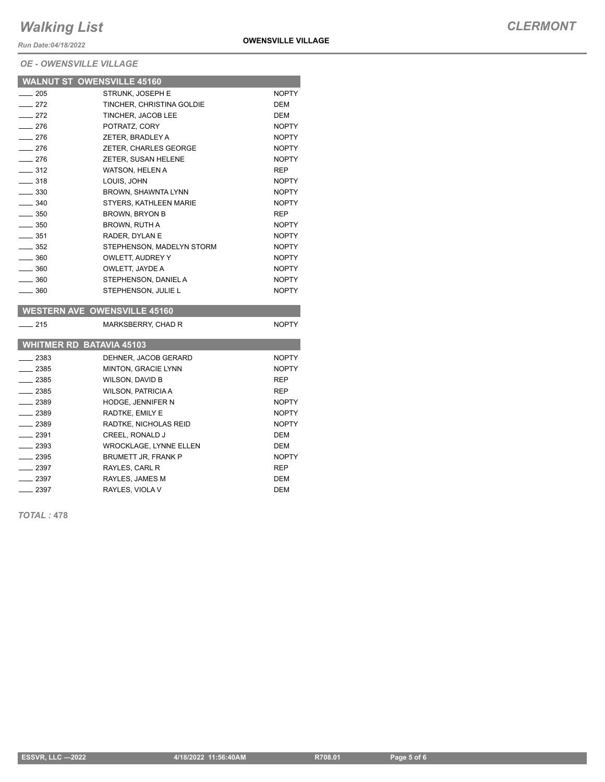*Run Date:04/18/2022*

*OE - OWENSVILLE VILLAGE*

|                              | <b>WALNUT ST OWENSVILLE 45160</b> |              |
|------------------------------|-----------------------------------|--------------|
| $-205$                       | STRUNK, JOSEPH E                  | <b>NOPTY</b> |
| $-272$                       | TINCHER, CHRISTINA GOLDIE         | <b>DEM</b>   |
| $-272$                       | TINCHER, JACOB LEE                | <b>DEM</b>   |
| $-276$                       | POTRATZ, CORY                     | <b>NOPTY</b> |
| $-276$                       | ZETER, BRADLEY A                  | <b>NOPTY</b> |
| $-276$                       | ZETER, CHARLES GEORGE             | <b>NOPTY</b> |
| $-276$                       | ZETER, SUSAN HELENE               | <b>NOPTY</b> |
| $-312$                       | WATSON, HELEN A                   | <b>REP</b>   |
| $\overline{\phantom{0}}$ 318 | LOUIS, JOHN                       | <b>NOPTY</b> |
| $\equiv$ 330                 | BROWN, SHAWNTA LYNN               | <b>NOPTY</b> |
| $-340$                       | STYERS, KATHLEEN MARIE            | <b>NOPTY</b> |
| $\equiv$ 350                 | <b>BROWN, BRYON B</b>             | <b>REP</b>   |
| $\equiv$ 350                 | BROWN, RUTH A                     | <b>NOPTY</b> |
| $-351$                       | RADER, DYLAN E                    | <b>NOPTY</b> |
| $\equiv$ 352                 | STEPHENSON, MADELYN STORM         | <b>NOPTY</b> |
| $\equiv$ 360                 | OWLETT, AUDREY Y                  | <b>NOPTY</b> |
| $\equiv$ 360                 | OWLETT, JAYDE A                   | <b>NOPTY</b> |
| $-360$                       | STEPHENSON, DANIEL A              | <b>NOPTY</b> |
| $\equiv$ 360                 | STEPHENSON, JULIE L               | <b>NOPTY</b> |

#### **WESTERN AVE OWENSVILLE 45160**

| 215           | MARKSBERRY, CHAD R              | <b>NOPTY</b> |
|---------------|---------------------------------|--------------|
|               | <b>WHITMER RD BATAVIA 45103</b> |              |
| 2383          | DEHNER, JACOB GERARD            | <b>NOPTY</b> |
| 2385          | <b>MINTON, GRACIE LYNN</b>      | <b>NOPTY</b> |
| $-2385$       | WILSON, DAVID B                 | <b>REP</b>   |
| $= 2385$      | <b>WILSON, PATRICIA A</b>       | <b>REP</b>   |
| $-2389$       | <b>HODGE. JENNIFER N</b>        | <b>NOPTY</b> |
| $-2389$       | RADTKE, EMILY E                 | <b>NOPTY</b> |
| $-2389$       | RADTKE, NICHOLAS REID           | <b>NOPTY</b> |
| $-2391$       | <b>CREEL, RONALD J</b>          | <b>DEM</b>   |
| $\equiv$ 2393 | <b>WROCKLAGE, LYNNE ELLEN</b>   | <b>DEM</b>   |
| 2395          | <b>BRUMETT JR. FRANK P</b>      | <b>NOPTY</b> |
| $-2397$       | RAYLES, CARL R                  | <b>REP</b>   |
| $-2397$       | RAYLES, JAMES M                 | DEM          |
| 2397          | RAYLES, VIOLA V                 | DEM          |

*TOTAL :* **478**